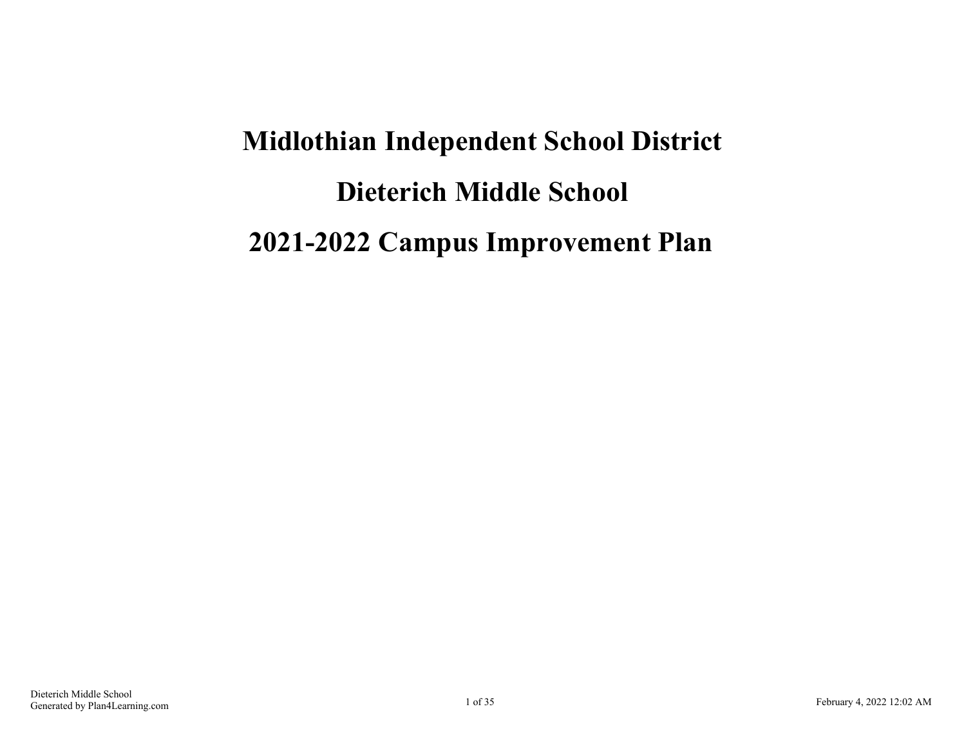# **Midlothian Independent School District Dieterich Middle School 2021-2022 Campus Improvement Plan**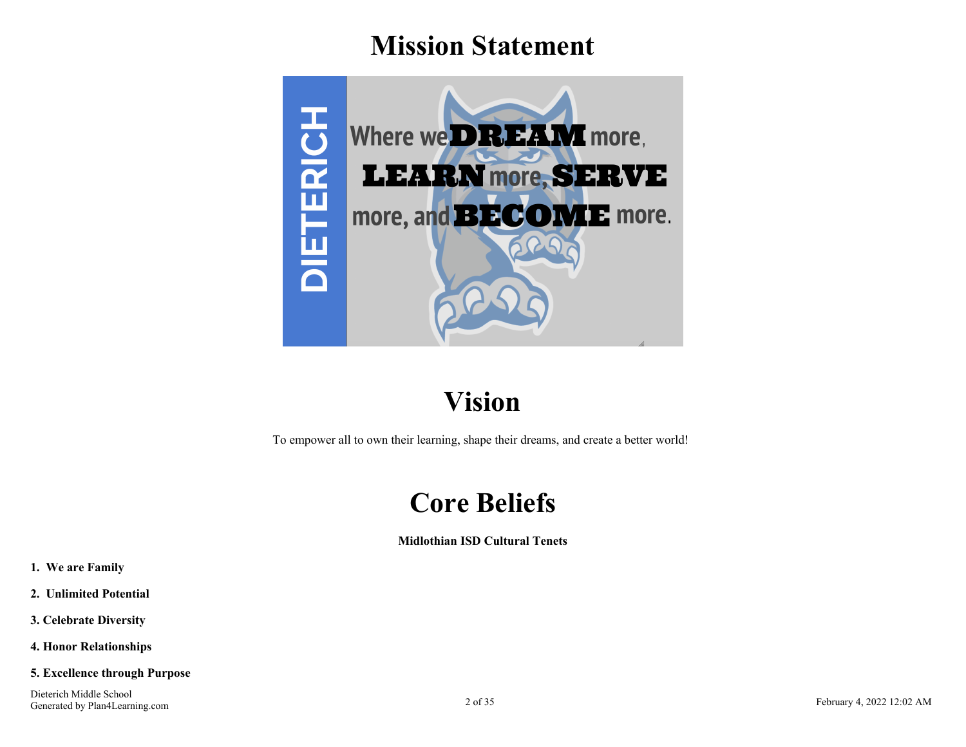# **Mission Statement**



## **Vision**

To empower all to own their learning, shape their dreams, and create a better world!

## **Core Beliefs**

**Midlothian ISD Cultural Tenets**

- **1. We are Family**
- **2. Unlimited Potential**
- **3. Celebrate Diversity**
- **4. Honor Relationships**
- **5. Excellence through Purpose**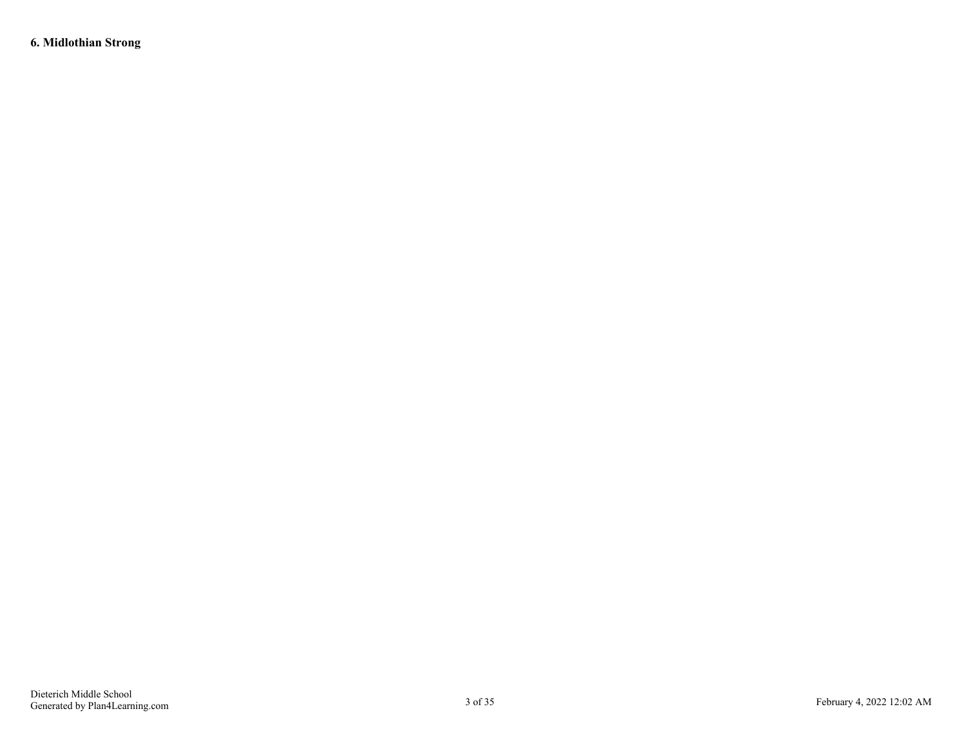#### **6. Midlothian Strong**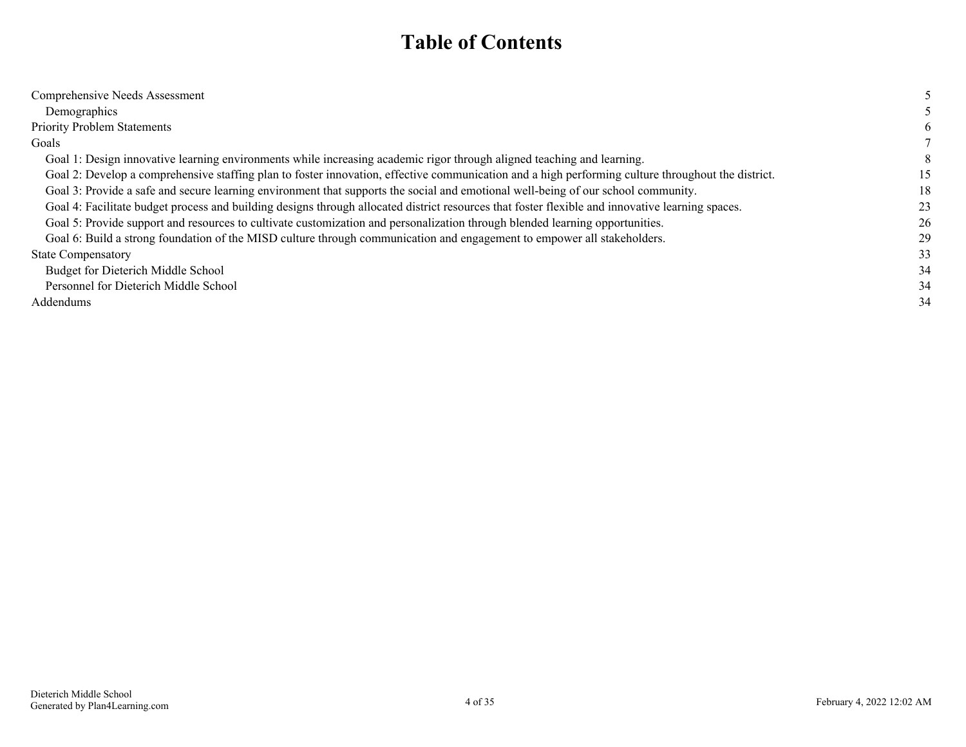### **Table of Contents**

| Comprehensive Needs Assessment                                                                                                                     |    |
|----------------------------------------------------------------------------------------------------------------------------------------------------|----|
| Demographics                                                                                                                                       |    |
| <b>Priority Problem Statements</b>                                                                                                                 |    |
| Goals                                                                                                                                              |    |
| Goal 1: Design innovative learning environments while increasing academic rigor through aligned teaching and learning.                             |    |
| Goal 2: Develop a comprehensive staffing plan to foster innovation, effective communication and a high performing culture throughout the district. | 15 |
| Goal 3: Provide a safe and secure learning environment that supports the social and emotional well-being of our school community.                  | 18 |
| Goal 4: Facilitate budget process and building designs through allocated district resources that foster flexible and innovative learning spaces.   | 23 |
| Goal 5: Provide support and resources to cultivate customization and personalization through blended learning opportunities.                       | 26 |
| Goal 6: Build a strong foundation of the MISD culture through communication and engagement to empower all stakeholders.                            | 29 |
| <b>State Compensatory</b>                                                                                                                          | 33 |
| Budget for Dieterich Middle School                                                                                                                 | 34 |
| Personnel for Dieterich Middle School                                                                                                              | 34 |
| Addendums                                                                                                                                          | 34 |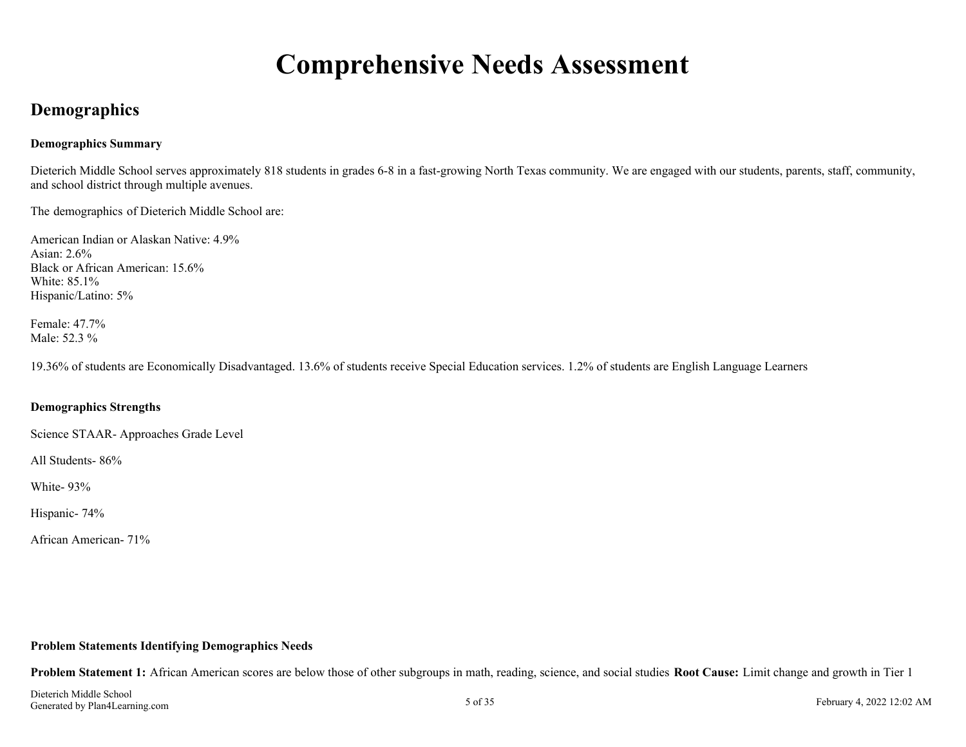## **Comprehensive Needs Assessment**

### <span id="page-4-0"></span>**Demographics**

#### **Demographics Summary**

Dieterich Middle School serves approximately 818 students in grades 6-8 in a fast-growing North Texas community. We are engaged with our students, parents, staff, community, and school district through multiple avenues.

The demographics of Dieterich Middle School are:

American Indian or Alaskan Native: 4.9% Asian: 2.6% Black or African American: 15.6% White: 85.1% Hispanic/Latino: 5%

Female: 47.7% Male: 52.3 %

19.36% of students are Economically Disadvantaged. 13.6% of students receive Special Education services. 1.2% of students are English Language Learners

#### **Demographics Strengths**

Science STAAR- Approaches Grade Level

All Students- 86%

White- 93%

Hispanic- 74%

African American- 71%

#### **Problem Statements Identifying Demographics Needs**

**Problem Statement 1:** African American scores are below those of other subgroups in math, reading, science, and social studies **Root Cause:** Limit change and growth in Tier 1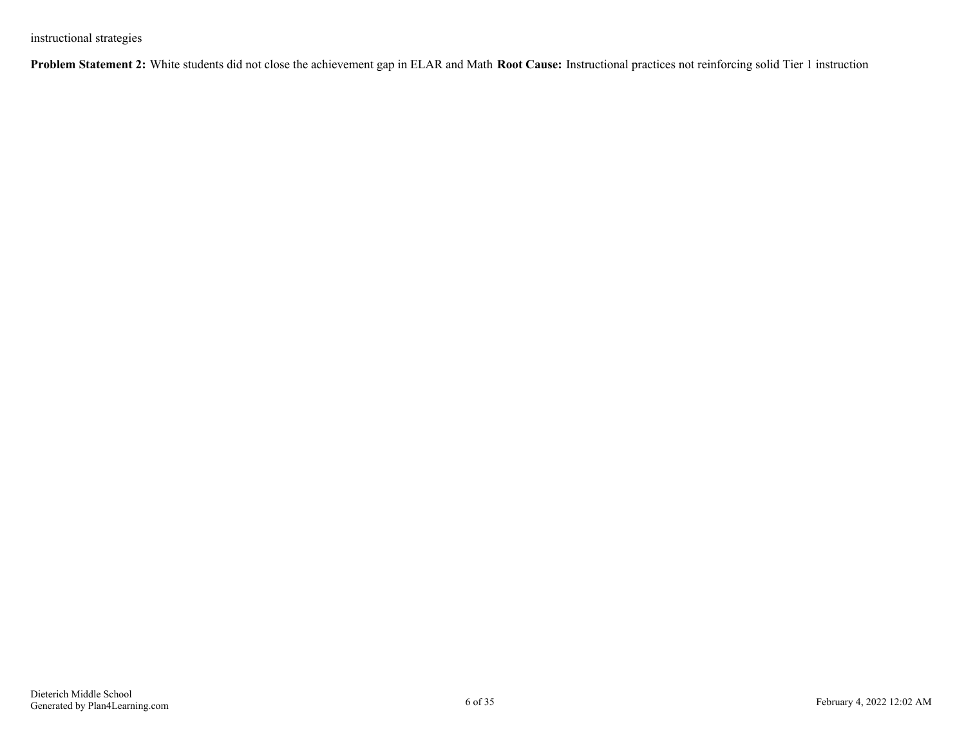instructional strategies

**Problem Statement 2:** White students did not close the achievement gap in ELAR and Math **Root Cause:** Instructional practices not reinforcing solid Tier 1 instruction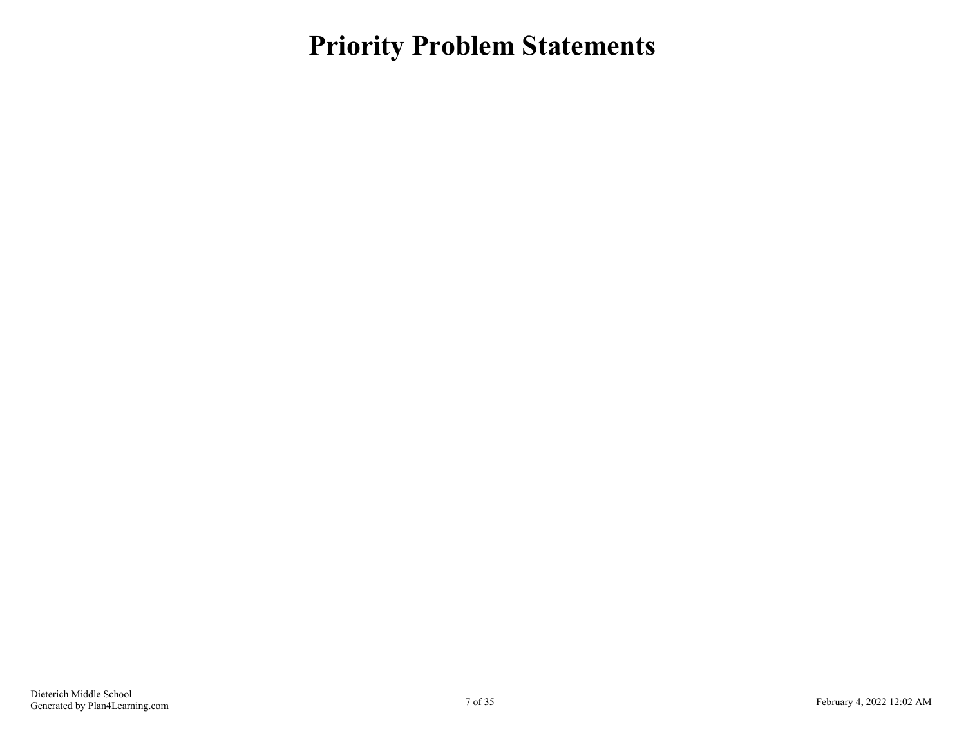# <span id="page-6-0"></span>**Priority Problem Statements**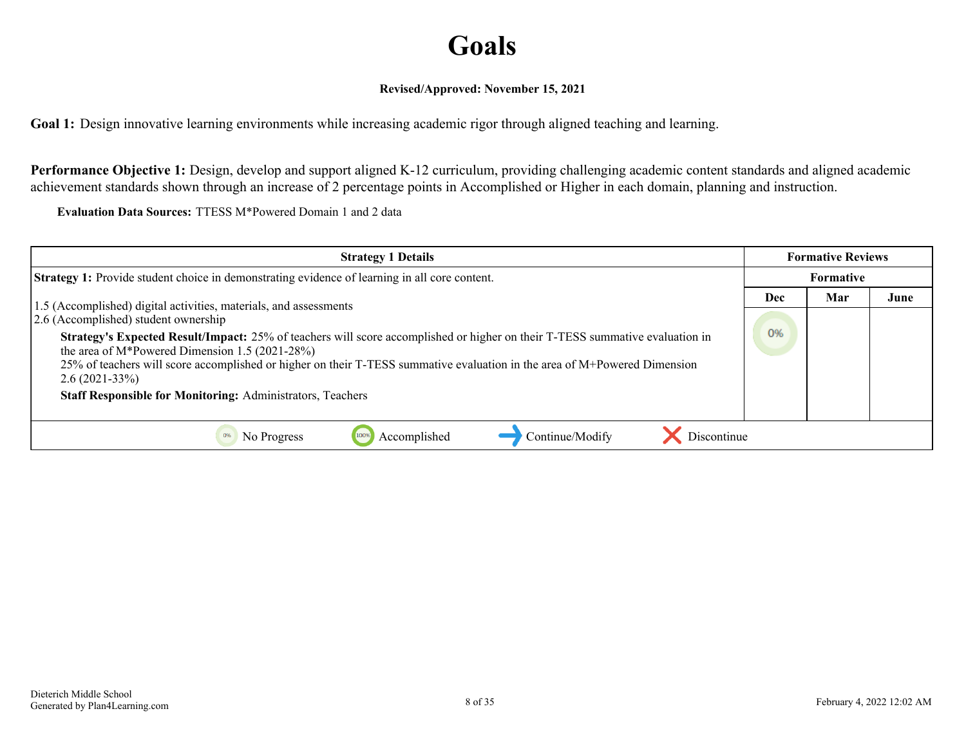# **Goals**

#### **Revised/Approved: November 15, 2021**

<span id="page-7-0"></span>**Goal 1:** Design innovative learning environments while increasing academic rigor through aligned teaching and learning.

**Performance Objective 1:** Design, develop and support aligned K-12 curriculum, providing challenging academic content standards and aligned academic achievement standards shown through an increase of 2 percentage points in Accomplished or Higher in each domain, planning and instruction.

**Evaluation Data Sources:** TTESS M\*Powered Domain 1 and 2 data

| <b>Strategy 1 Details</b>                                                                                                                                                                                                                                                                                                                                                                                                                                                                                          | <b>Formative Reviews</b> |     |      |
|--------------------------------------------------------------------------------------------------------------------------------------------------------------------------------------------------------------------------------------------------------------------------------------------------------------------------------------------------------------------------------------------------------------------------------------------------------------------------------------------------------------------|--------------------------|-----|------|
| <b>Strategy 1:</b> Provide student choice in demonstrating evidence of learning in all core content.                                                                                                                                                                                                                                                                                                                                                                                                               | Formative                |     |      |
| 1.5 (Accomplished) digital activities, materials, and assessments<br>2.6 (Accomplished) student ownership<br>Strategy's Expected Result/Impact: 25% of teachers will score accomplished or higher on their T-TESS summative evaluation in<br>the area of M*Powered Dimension $1.5$ (2021-28%)<br>25% of teachers will score accomplished or higher on their T-TESS summative evaluation in the area of M+Powered Dimension<br>$2.6(2021-33%)$<br><b>Staff Responsible for Monitoring: Administrators, Teachers</b> | <b>Dec</b><br>0%         | Mar | June |
| Continue/Modify<br>Discontinue<br>Accomplished<br>No Progress                                                                                                                                                                                                                                                                                                                                                                                                                                                      |                          |     |      |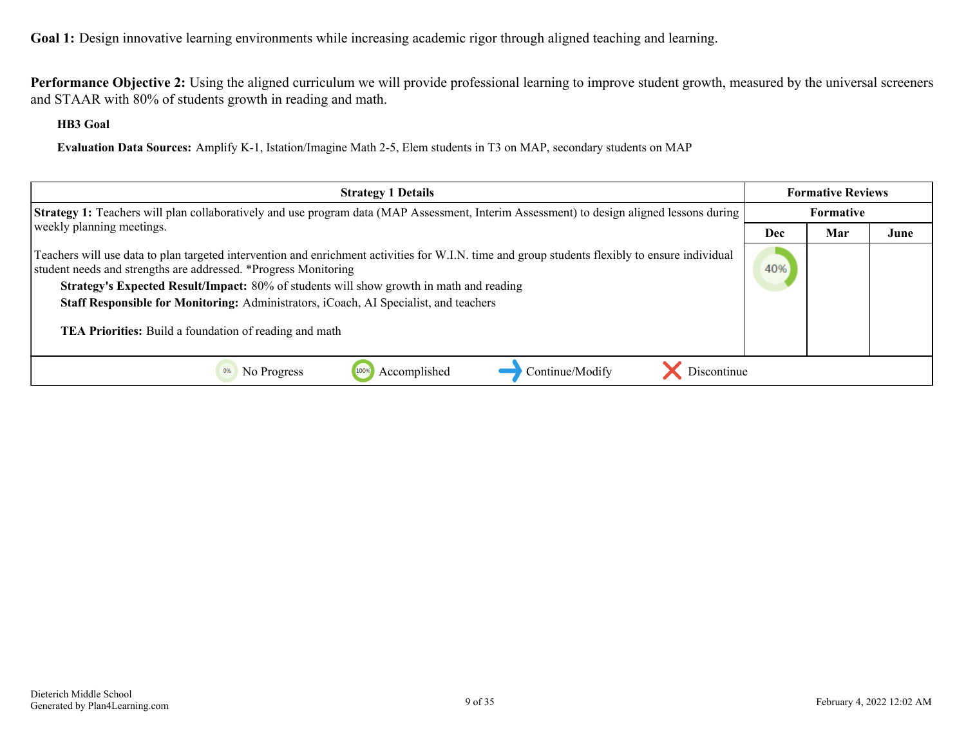**Performance Objective 2:** Using the aligned curriculum we will provide professional learning to improve student growth, measured by the universal screeners and STAAR with 80% of students growth in reading and math.

**HB3 Goal**

**Evaluation Data Sources:** Amplify K-1, Istation/Imagine Math 2-5, Elem students in T3 on MAP, secondary students on MAP

| <b>Strategy 1 Details</b>                                                                                                                                                                                                                                                                                                                                                                                                                                                      | <b>Formative Reviews</b> |                  |      |
|--------------------------------------------------------------------------------------------------------------------------------------------------------------------------------------------------------------------------------------------------------------------------------------------------------------------------------------------------------------------------------------------------------------------------------------------------------------------------------|--------------------------|------------------|------|
| <b>Strategy 1:</b> Teachers will plan collaboratively and use program data (MAP Assessment, Interim Assessment) to design aligned lessons during                                                                                                                                                                                                                                                                                                                               |                          | <b>Formative</b> |      |
| weekly planning meetings.                                                                                                                                                                                                                                                                                                                                                                                                                                                      | <b>Dec</b>               | Mar              | June |
| Teachers will use data to plan targeted intervention and enrichment activities for W.I.N. time and group students flexibly to ensure individual<br>student needs and strengths are addressed. *Progress Monitoring<br>Strategy's Expected Result/Impact: 80% of students will show growth in math and reading<br><b>Staff Responsible for Monitoring:</b> Administrators, iCoach, AI Specialist, and teachers<br><b>TEA Priorities:</b> Build a foundation of reading and math | 40%                      |                  |      |
| Accomplished<br>Discontinue<br>Continue/Modify<br>No Progress                                                                                                                                                                                                                                                                                                                                                                                                                  |                          |                  |      |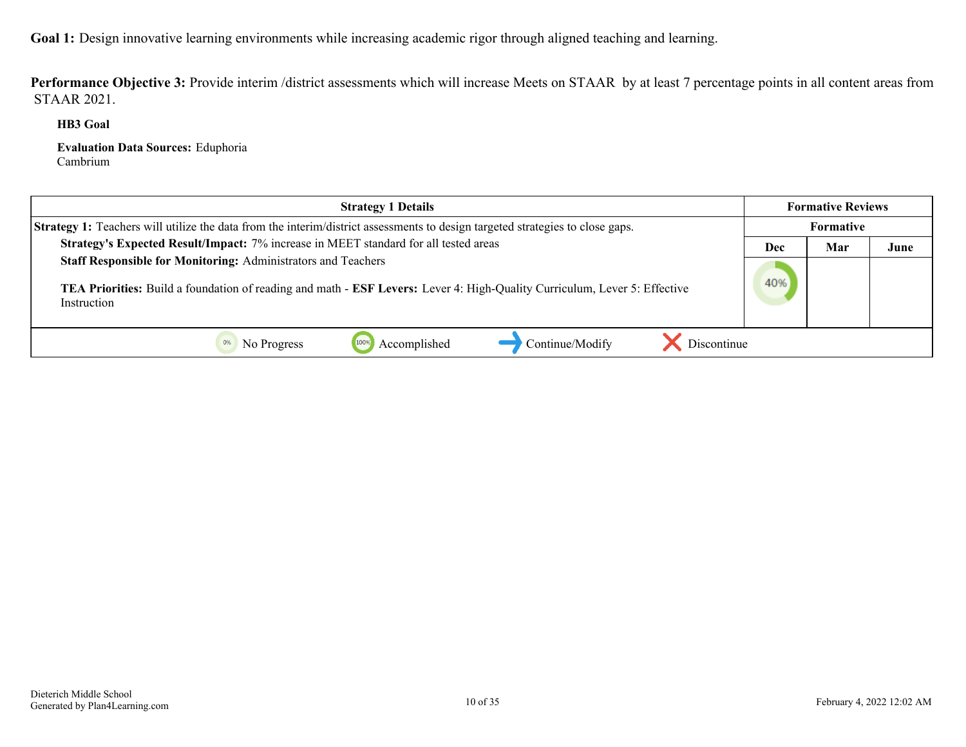Performance Objective 3: Provide interim /district assessments which will increase Meets on STAAR by at least 7 percentage points in all content areas from STAAR 2021.

**HB3 Goal**

**Evaluation Data Sources:** Eduphoria Cambrium

| <b>Strategy 1 Details</b>                                                                                                                                                                                               | <b>Formative Reviews</b> |     |      |
|-------------------------------------------------------------------------------------------------------------------------------------------------------------------------------------------------------------------------|--------------------------|-----|------|
| <b>Strategy 1:</b> Teachers will utilize the data from the interim/district assessments to design targeted strategies to close gaps.                                                                                    | Formative                |     |      |
| Strategy's Expected Result/Impact: 7% increase in MEET standard for all tested areas                                                                                                                                    | Dec                      | Mar | June |
| Staff Responsible for Monitoring: Administrators and Teachers<br><b>TEA Priorities:</b> Build a foundation of reading and math - <b>ESF Levers:</b> Lever 4: High-Quality Curriculum, Lever 5: Effective<br>Instruction | 40%                      |     |      |
| Discontinue<br>Continue/Modify<br>No Progress<br>Accomplished                                                                                                                                                           |                          |     |      |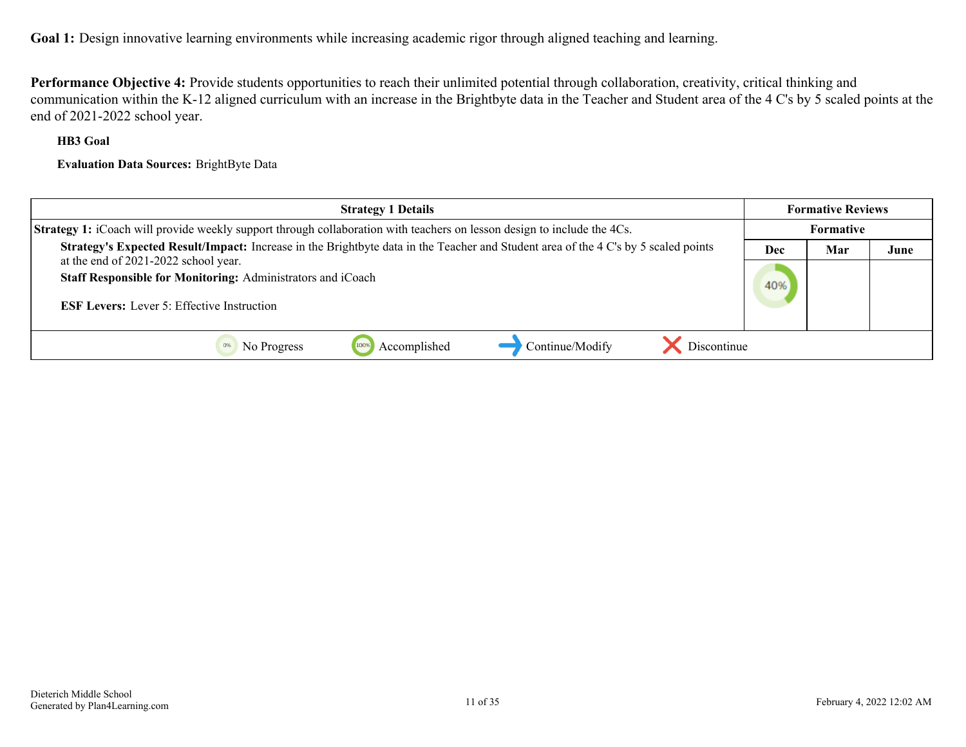**Performance Objective 4:** Provide students opportunities to reach their unlimited potential through collaboration, creativity, critical thinking and communication within the K-12 aligned curriculum with an increase in the Brightbyte data in the Teacher and Student area of the 4 C's by 5 scaled points at the end of 2021-2022 school year.

#### **HB3 Goal**

**Evaluation Data Sources:** BrightByte Data

| <b>Strategy 1 Details</b>                                                                                                          | <b>Formative Reviews</b> |     |      |
|------------------------------------------------------------------------------------------------------------------------------------|--------------------------|-----|------|
| Strategy 1: iCoach will provide weekly support through collaboration with teachers on lesson design to include the 4Cs.            | Formative                |     |      |
| Strategy's Expected Result/Impact: Increase in the Brightbyte data in the Teacher and Student area of the 4 C's by 5 scaled points | Dec                      | Mar | June |
| at the end of 2021-2022 school year.<br>Staff Responsible for Monitoring: Administrators and iCoach                                |                          |     |      |
| <b>ESF Levers:</b> Lever 5: Effective Instruction                                                                                  | 40%                      |     |      |
| Discontinue<br>Continue/Modify<br>Accomplished<br>No Progress                                                                      |                          |     |      |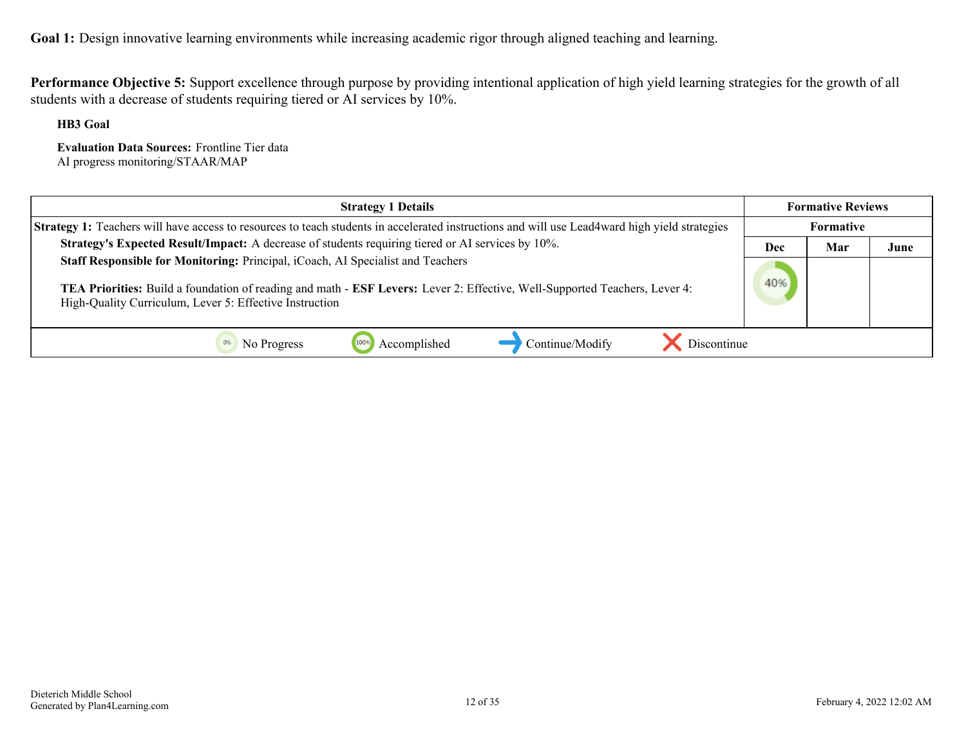**Performance Objective 5:** Support excellence through purpose by providing intentional application of high yield learning strategies for the growth of all students with a decrease of students requiring tiered or AI services by 10%.

**HB3 Goal**

**Evaluation Data Sources:** Frontline Tier data AI progress monitoring/STAAR/MAP

| <b>Strategy 1 Details</b>                                                                                                                                                                                                                                                | <b>Formative Reviews</b> |     |      |
|--------------------------------------------------------------------------------------------------------------------------------------------------------------------------------------------------------------------------------------------------------------------------|--------------------------|-----|------|
| <b>Strategy 1:</b> Teachers will have access to resources to teach students in accelerated instructions and will use Lead4ward high yield strategies                                                                                                                     | Formative                |     |      |
| Strategy's Expected Result/Impact: A decrease of students requiring tiered or AI services by 10%.                                                                                                                                                                        | Dec                      | Mar | June |
| Staff Responsible for Monitoring: Principal, iCoach, AI Specialist and Teachers<br>TEA Priorities: Build a foundation of reading and math - ESF Levers: Lever 2: Effective, Well-Supported Teachers, Lever 4:<br>High-Quality Curriculum, Lever 5: Effective Instruction | 40%                      |     |      |
| Continue/Modify<br>Discontinue<br>Accomplished<br>No Progress                                                                                                                                                                                                            |                          |     |      |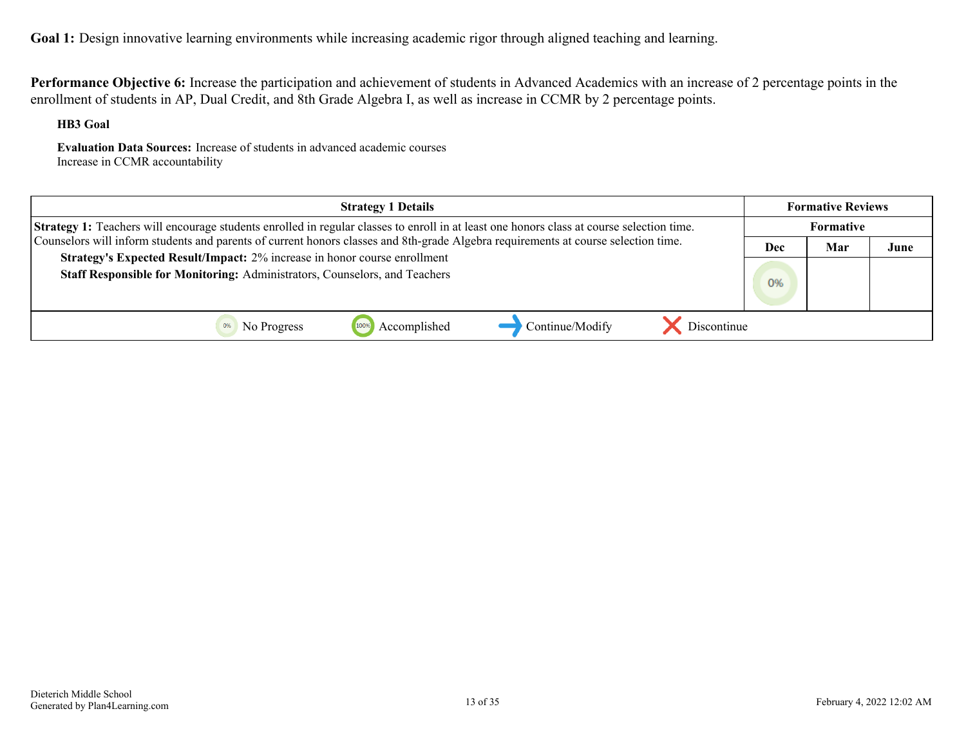**Performance Objective 6:** Increase the participation and achievement of students in Advanced Academics with an increase of 2 percentage points in the enrollment of students in AP, Dual Credit, and 8th Grade Algebra I, as well as increase in CCMR by 2 percentage points.

#### **HB3 Goal**

**Evaluation Data Sources:** Increase of students in advanced academic courses Increase in CCMR accountability

| <b>Strategy 1 Details</b>                                                                                                                               | <b>Formative Reviews</b> |           |      |
|---------------------------------------------------------------------------------------------------------------------------------------------------------|--------------------------|-----------|------|
| Strategy 1: Teachers will encourage students enrolled in regular classes to enroll in at least one honors class at course selection time.               |                          | Formative |      |
| Counselors will inform students and parents of current honors classes and 8th-grade Algebra requirements at course selection time.                      | Dec                      | Mar       | June |
| Strategy's Expected Result/Impact: 2% increase in honor course enrollment<br>Staff Responsible for Monitoring: Administrators, Counselors, and Teachers | 0%                       |           |      |
| Continue/Modify<br>Discontinue<br>100<br>No Progress<br>Accomplished                                                                                    |                          |           |      |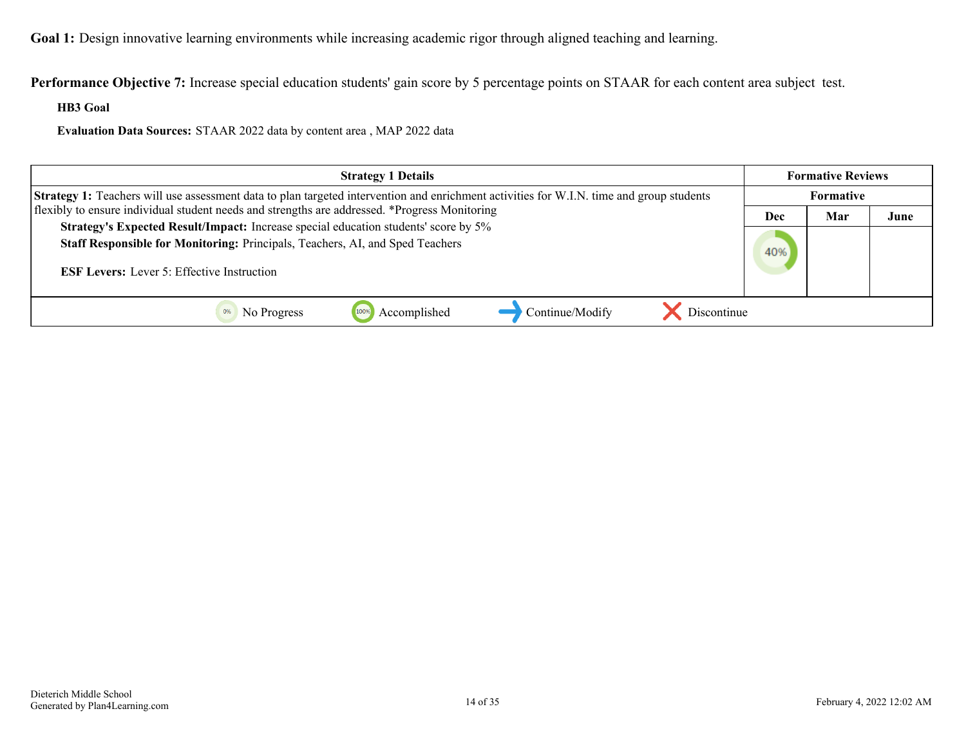**Performance Objective 7:** Increase special education students' gain score by 5 percentage points on STAAR for each content area subject test.

**HB3 Goal**

**Evaluation Data Sources:** STAAR 2022 data by content area , MAP 2022 data

| <b>Strategy 1 Details</b>                                                                                                                                                                                                 | <b>Formative Reviews</b> |           |      |
|---------------------------------------------------------------------------------------------------------------------------------------------------------------------------------------------------------------------------|--------------------------|-----------|------|
| Strategy 1: Teachers will use assessment data to plan targeted intervention and enrichment activities for W.I.N. time and group students                                                                                  |                          | Formative |      |
| flexibly to ensure individual student needs and strengths are addressed. *Progress Monitoring                                                                                                                             | Dec                      | Mar       | June |
| Strategy's Expected Result/Impact: Increase special education students' score by 5%<br>Staff Responsible for Monitoring: Principals, Teachers, AI, and Sped Teachers<br><b>ESF Levers:</b> Lever 5: Effective Instruction | 40%                      |           |      |
| Discontinue<br>Accomplished<br>Continue/Modify<br>100%<br>No Progress                                                                                                                                                     |                          |           |      |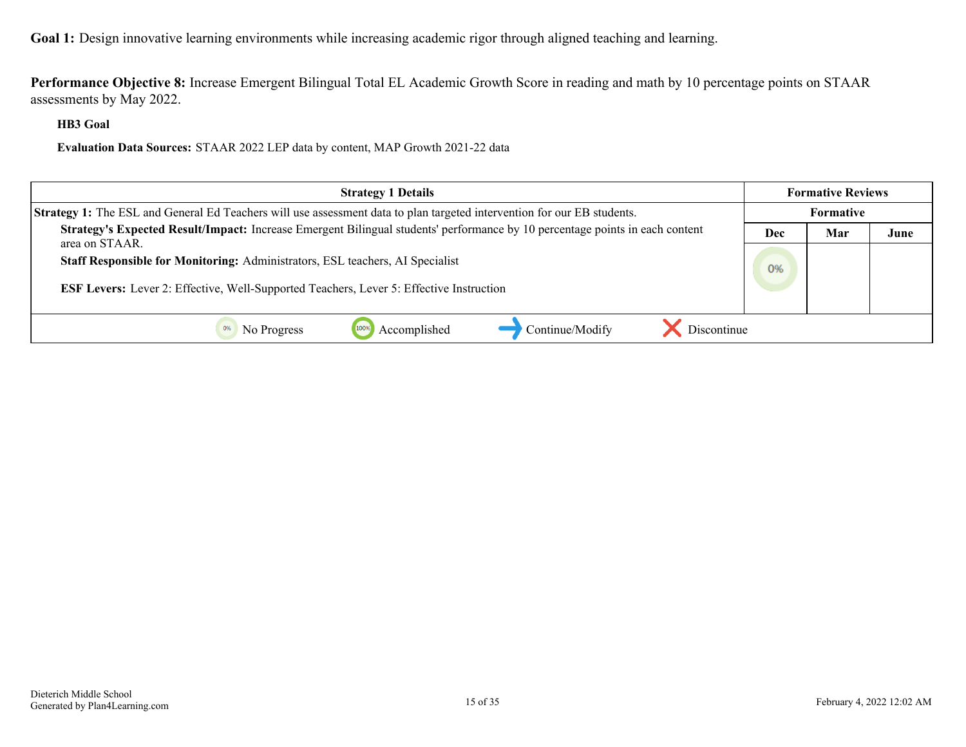**Performance Objective 8:** Increase Emergent Bilingual Total EL Academic Growth Score in reading and math by 10 percentage points on STAAR assessments by May 2022.

**HB3 Goal**

**Evaluation Data Sources:** STAAR 2022 LEP data by content, MAP Growth 2021-22 data

| <b>Strategy 1 Details</b>                                                                                                                      | <b>Formative Reviews</b> |           |      |
|------------------------------------------------------------------------------------------------------------------------------------------------|--------------------------|-----------|------|
| <b>Strategy 1:</b> The ESL and General Ed Teachers will use assessment data to plan targeted intervention for our EB students.                 |                          | Formative |      |
| Strategy's Expected Result/Impact: Increase Emergent Bilingual students' performance by 10 percentage points in each content<br>area on STAAR. | Dec                      | Mar       | June |
| Staff Responsible for Monitoring: Administrators, ESL teachers, AI Specialist                                                                  | 0%                       |           |      |
| <b>ESF Levers:</b> Lever 2: Effective, Well-Supported Teachers, Lever 5: Effective Instruction                                                 |                          |           |      |
| Accomplished<br>Continue/Modify<br>Discontinue<br>No Progress                                                                                  |                          |           |      |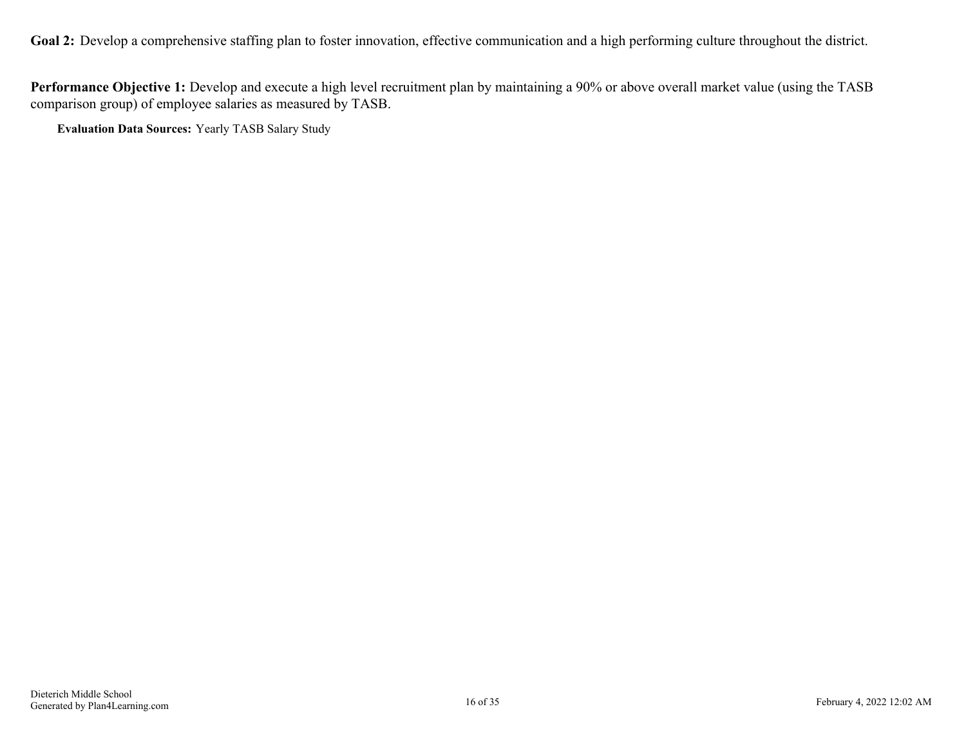<span id="page-15-0"></span>Goal 2: Develop a comprehensive staffing plan to foster innovation, effective communication and a high performing culture throughout the district.

**Performance Objective 1:** Develop and execute a high level recruitment plan by maintaining a 90% or above overall market value (using the TASB comparison group) of employee salaries as measured by TASB.

**Evaluation Data Sources:** Yearly TASB Salary Study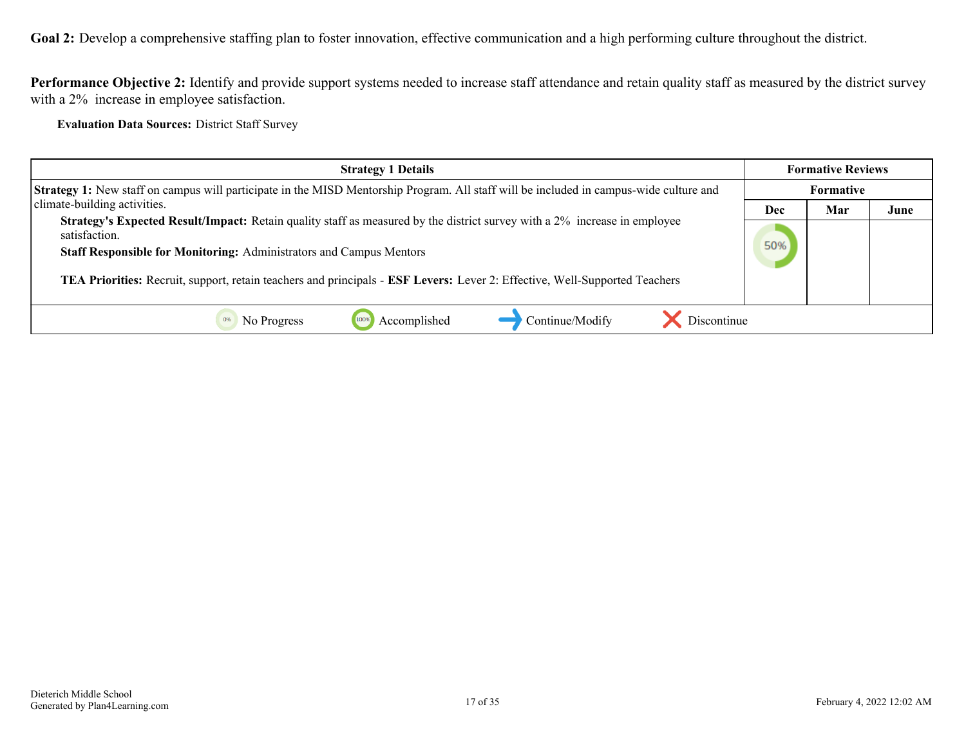**Goal 2:** Develop a comprehensive staffing plan to foster innovation, effective communication and a high performing culture throughout the district.

Performance Objective 2: Identify and provide support systems needed to increase staff attendance and retain quality staff as measured by the district survey with a 2% increase in employee satisfaction.

**Evaluation Data Sources:** District Staff Survey

| <b>Strategy 1 Details</b>                                                                                                                                                                                                | <b>Formative Reviews</b> |                  |      |
|--------------------------------------------------------------------------------------------------------------------------------------------------------------------------------------------------------------------------|--------------------------|------------------|------|
| <b>Strategy 1:</b> New staff on campus will participate in the MISD Mentorship Program. All staff will be included in campus-wide culture and                                                                            |                          | <b>Formative</b> |      |
| climate-building activities.                                                                                                                                                                                             | Dec                      | Mar              | June |
| <b>Strategy's Expected Result/Impact:</b> Retain quality staff as measured by the district survey with a 2% increase in employee<br>satisfaction.<br>Staff Responsible for Monitoring: Administrators and Campus Mentors | 50%                      |                  |      |
| TEA Priorities: Recruit, support, retain teachers and principals - ESF Levers: Lever 2: Effective, Well-Supported Teachers                                                                                               |                          |                  |      |
| Discontinue<br>Accomplished<br>Continue/Modify<br>No Progress                                                                                                                                                            |                          |                  |      |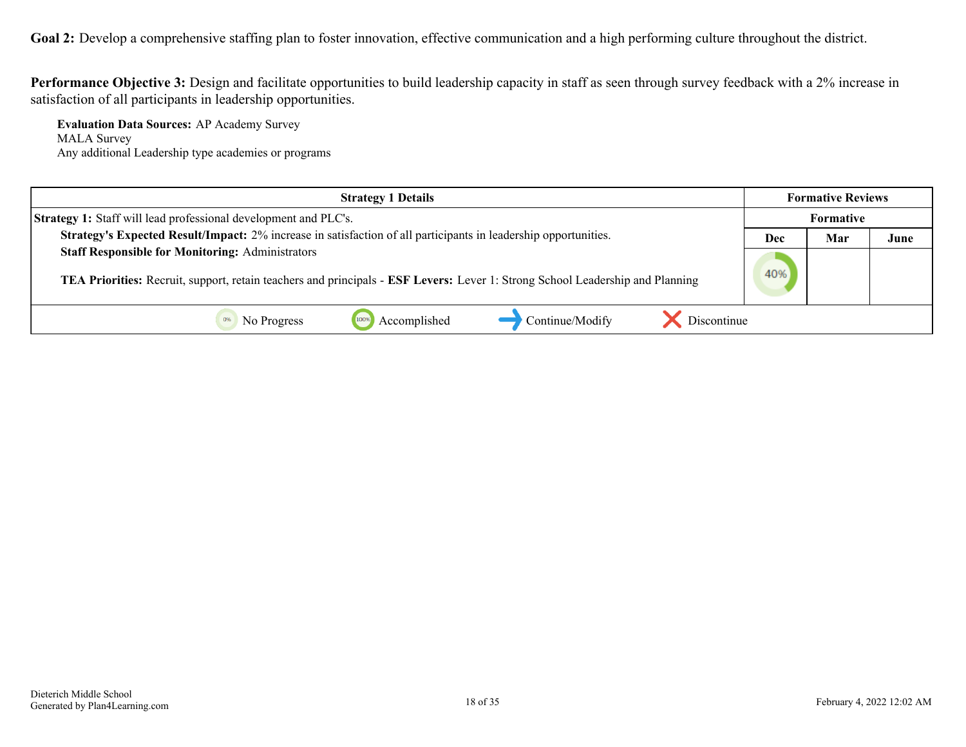**Goal 2:** Develop a comprehensive staffing plan to foster innovation, effective communication and a high performing culture throughout the district.

**Performance Objective 3:** Design and facilitate opportunities to build leadership capacity in staff as seen through survey feedback with a 2% increase in satisfaction of all participants in leadership opportunities.

**Evaluation Data Sources:** AP Academy Survey MALA Survey Any additional Leadership type academies or programs

| <b>Strategy 1 Details</b>                                                                                                                                                                | <b>Formative Reviews</b> |     |      |
|------------------------------------------------------------------------------------------------------------------------------------------------------------------------------------------|--------------------------|-----|------|
| <b>Strategy 1:</b> Staff will lead professional development and PLC's.                                                                                                                   | Formative                |     |      |
| Strategy's Expected Result/Impact: 2% increase in satisfaction of all participants in leadership opportunities.                                                                          | Dec                      | Mar | June |
| <b>Staff Responsible for Monitoring: Administrators</b><br>TEA Priorities: Recruit, support, retain teachers and principals - ESF Levers: Lever 1: Strong School Leadership and Planning | 40%                      |     |      |
| Discontinue<br>Continue/Modify<br>Accomplished<br>No Progress                                                                                                                            |                          |     |      |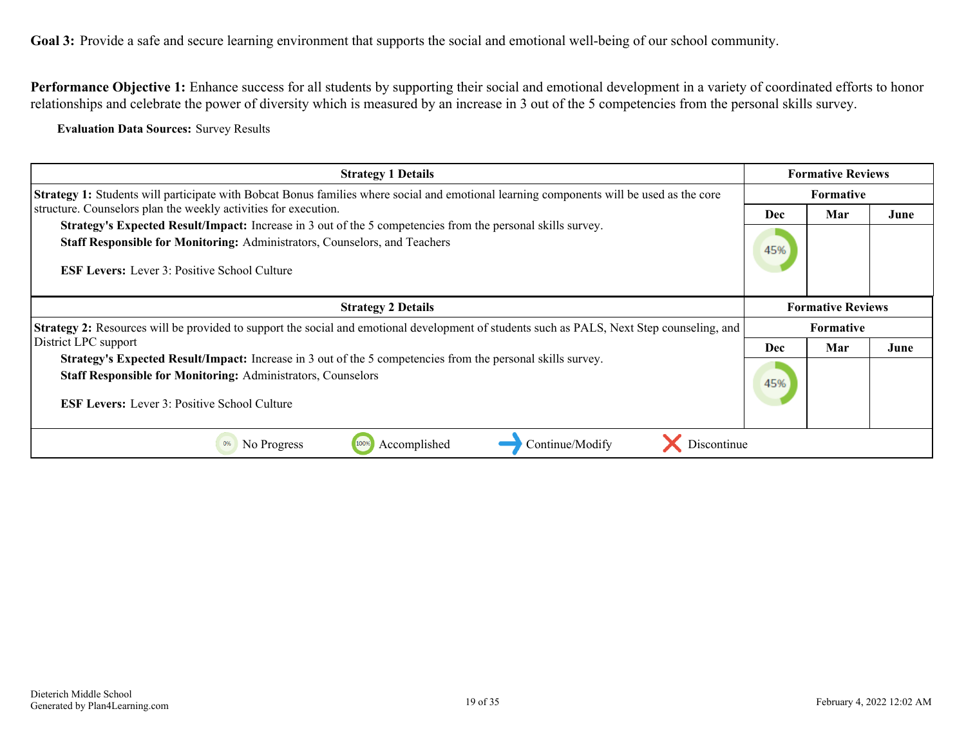<span id="page-18-0"></span>Performance Objective 1: Enhance success for all students by supporting their social and emotional development in a variety of coordinated efforts to honor relationships and celebrate the power of diversity which is measured by an increase in 3 out of the 5 competencies from the personal skills survey.

**Evaluation Data Sources:** Survey Results

| <b>Strategy 1 Details</b>                                                                                                                                                                                                                               | <b>Formative Reviews</b> |                          |      |
|---------------------------------------------------------------------------------------------------------------------------------------------------------------------------------------------------------------------------------------------------------|--------------------------|--------------------------|------|
| <b>Strategy 1:</b> Students will participate with Bobcat Bonus families where social and emotional learning components will be used as the core                                                                                                         | <b>Formative</b>         |                          |      |
| structure. Counselors plan the weekly activities for execution.                                                                                                                                                                                         | Dec                      | Mar                      | June |
| <b>Strategy's Expected Result/Impact:</b> Increase in 3 out of the 5 competencies from the personal skills survey.<br>Staff Responsible for Monitoring: Administrators, Counselors, and Teachers<br><b>ESF Levers:</b> Lever 3: Positive School Culture | 45%                      |                          |      |
| <b>Strategy 2 Details</b>                                                                                                                                                                                                                               |                          | <b>Formative Reviews</b> |      |
| <b>Strategy 2:</b> Resources will be provided to support the social and emotional development of students such as PALS, Next Step counseling, and                                                                                                       | <b>Formative</b>         |                          |      |
| District LPC support                                                                                                                                                                                                                                    | Dec                      | Mar                      | June |
| Strategy's Expected Result/Impact: Increase in 3 out of the 5 competencies from the personal skills survey.<br><b>Staff Responsible for Monitoring: Administrators, Counselors</b><br><b>ESF Levers:</b> Lever 3: Positive School Culture               | 45%                      |                          |      |
| 100%<br>Accomplished<br>No Progress<br>Continue/Modify<br>Discontinue                                                                                                                                                                                   |                          |                          |      |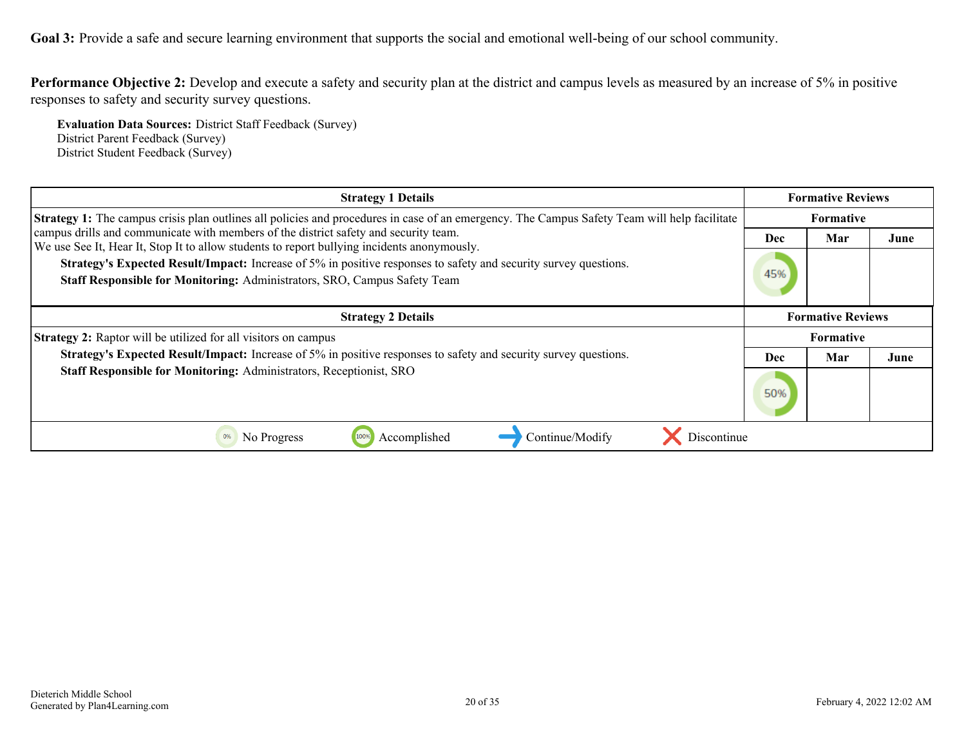**Performance Objective 2:** Develop and execute a safety and security plan at the district and campus levels as measured by an increase of 5% in positive responses to safety and security survey questions.

**Evaluation Data Sources:** District Staff Feedback (Survey) District Parent Feedback (Survey) District Student Feedback (Survey)

| <b>Strategy 1 Details</b>                                                                                                                                                                                                                                                                                                                                                                                                                                                                                                                   | <b>Formative Reviews</b> |                          |      |  |
|---------------------------------------------------------------------------------------------------------------------------------------------------------------------------------------------------------------------------------------------------------------------------------------------------------------------------------------------------------------------------------------------------------------------------------------------------------------------------------------------------------------------------------------------|--------------------------|--------------------------|------|--|
| <b>Strategy 1:</b> The campus crisis plan outlines all policies and procedures in case of an emergency. The Campus Safety Team will help facilitate<br>campus drills and communicate with members of the district safety and security team.<br>We use See It, Hear It, Stop It to allow students to report bullying incidents anonymously.<br>Strategy's Expected Result/Impact: Increase of 5% in positive responses to safety and security survey questions.<br>Staff Responsible for Monitoring: Administrators, SRO, Campus Safety Team |                          | <b>Formative</b>         |      |  |
|                                                                                                                                                                                                                                                                                                                                                                                                                                                                                                                                             |                          | Mar                      | June |  |
|                                                                                                                                                                                                                                                                                                                                                                                                                                                                                                                                             |                          |                          |      |  |
| <b>Strategy 2 Details</b>                                                                                                                                                                                                                                                                                                                                                                                                                                                                                                                   |                          | <b>Formative Reviews</b> |      |  |
| <b>Strategy 2:</b> Raptor will be utilized for all visitors on campus                                                                                                                                                                                                                                                                                                                                                                                                                                                                       |                          | <b>Formative</b>         |      |  |
| <b>Strategy's Expected Result/Impact:</b> Increase of 5% in positive responses to safety and security survey questions.                                                                                                                                                                                                                                                                                                                                                                                                                     | Dec                      | Mar                      | June |  |
| Staff Responsible for Monitoring: Administrators, Receptionist, SRO                                                                                                                                                                                                                                                                                                                                                                                                                                                                         | 50%                      |                          |      |  |
| Discontinue<br>Continue/Modify<br>0%<br>No Progress<br>Accomplished                                                                                                                                                                                                                                                                                                                                                                                                                                                                         |                          |                          |      |  |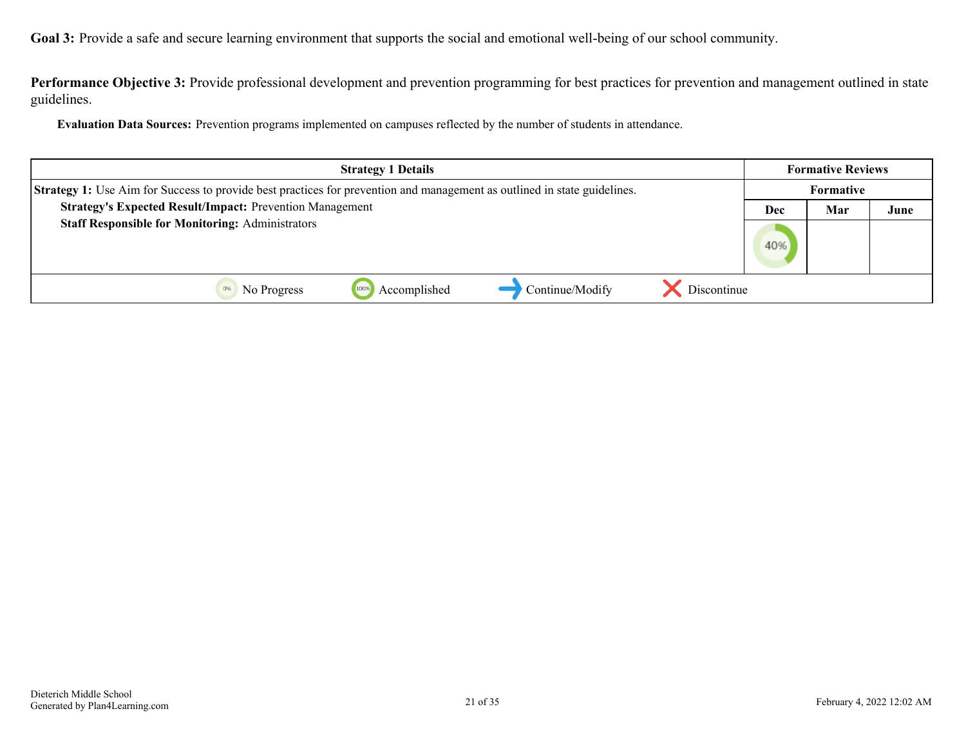**Performance Objective 3:** Provide professional development and prevention programming for best practices for prevention and management outlined in state guidelines.

**Evaluation Data Sources:** Prevention programs implemented on campuses reflected by the number of students in attendance.

| <b>Strategy 1 Details</b>                                                                                                       |     | <b>Formative Reviews</b> |      |
|---------------------------------------------------------------------------------------------------------------------------------|-----|--------------------------|------|
| <b>Strategy 1:</b> Use Aim for Success to provide best practices for prevention and management as outlined in state guidelines. |     | Formative                |      |
| <b>Strategy's Expected Result/Impact: Prevention Management</b>                                                                 | Dec | Mar                      | June |
| <b>Staff Responsible for Monitoring: Administrators</b>                                                                         | 40% |                          |      |
| Continue/Modify<br>Discontinue<br>Accomplished<br>1009<br>No Progress                                                           |     |                          |      |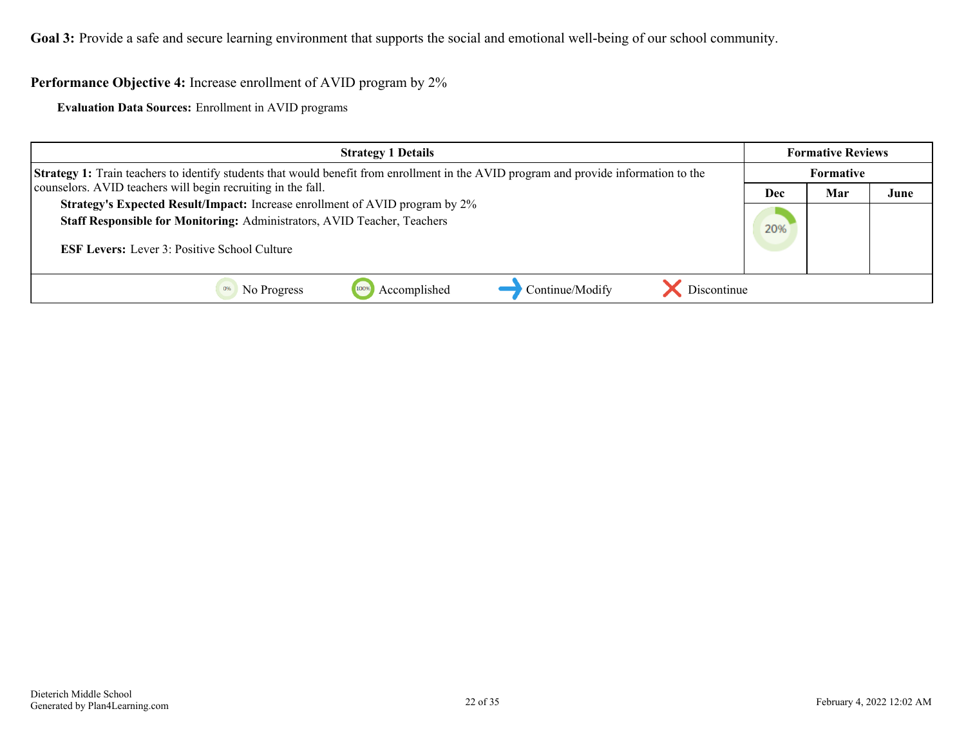#### **Performance Objective 4:** Increase enrollment of AVID program by 2%

**Evaluation Data Sources:** Enrollment in AVID programs

| <b>Strategy 1 Details</b>                                                                                                                    |     | <b>Formative Reviews</b> |      |
|----------------------------------------------------------------------------------------------------------------------------------------------|-----|--------------------------|------|
| <b>Strategy 1:</b> Train teachers to identify students that would benefit from enrollment in the AVID program and provide information to the |     | Formative                |      |
| counselors. AVID teachers will begin recruiting in the fall.                                                                                 | Dec | Mar                      | June |
| <b>Strategy's Expected Result/Impact:</b> Increase enrollment of AVID program by 2%                                                          |     |                          |      |
| Staff Responsible for Monitoring: Administrators, AVID Teacher, Teachers<br><b>ESF Levers:</b> Lever 3: Positive School Culture              |     |                          |      |
| Continue/Modify<br>Discontinue<br>Accomplished<br>No Progress                                                                                |     |                          |      |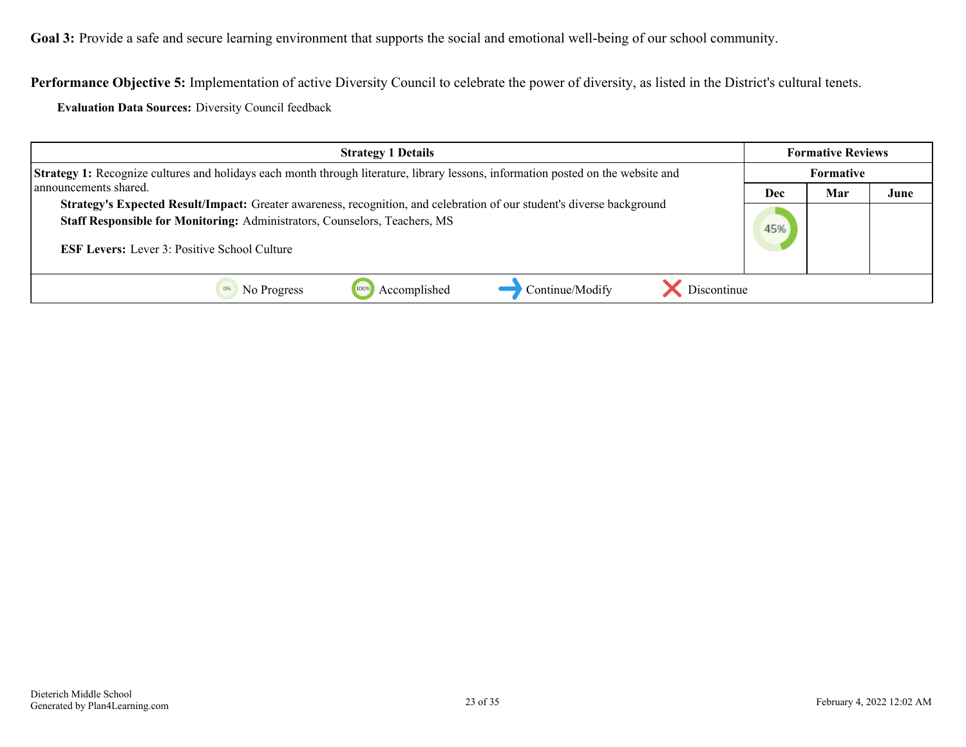**Performance Objective 5:** Implementation of active Diversity Council to celebrate the power of diversity, as listed in the District's cultural tenets.

**Evaluation Data Sources:** Diversity Council feedback

| <b>Strategy 1 Details</b>                                                                                                                                                                                                                                   |     | <b>Formative Reviews</b> |      |
|-------------------------------------------------------------------------------------------------------------------------------------------------------------------------------------------------------------------------------------------------------------|-----|--------------------------|------|
| <b>Strategy 1:</b> Recognize cultures and holidays each month through literature, library lessons, information posted on the website and                                                                                                                    |     | Formative                |      |
| announcements shared.                                                                                                                                                                                                                                       | Dec | Mar                      | June |
| Strategy's Expected Result/Impact: Greater awareness, recognition, and celebration of our student's diverse background<br>Staff Responsible for Monitoring: Administrators, Counselors, Teachers, MS<br><b>ESF Levers:</b> Lever 3: Positive School Culture | 45% |                          |      |
| Accomplished<br>Continue/Modify<br>Discontinue<br>No Progress                                                                                                                                                                                               |     |                          |      |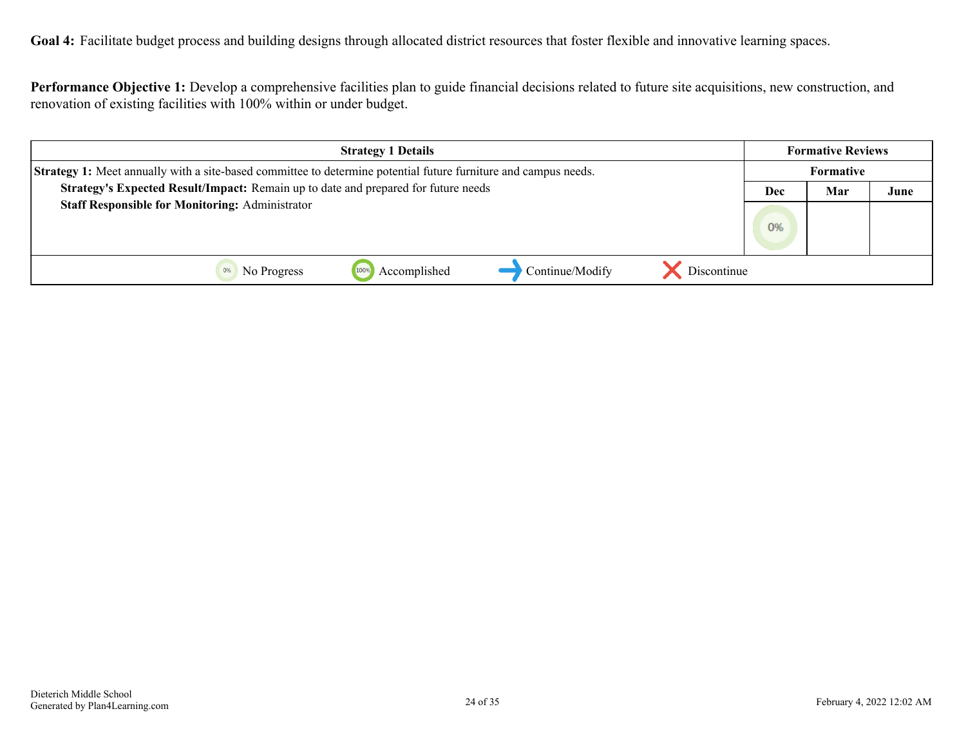<span id="page-23-0"></span>Goal 4: Facilitate budget process and building designs through allocated district resources that foster flexible and innovative learning spaces.

**Performance Objective 1:** Develop a comprehensive facilities plan to guide financial decisions related to future site acquisitions, new construction, and renovation of existing facilities with 100% within or under budget.

| <b>Strategy 1 Details</b>                                                                                              |     | <b>Formative Reviews</b> |      |
|------------------------------------------------------------------------------------------------------------------------|-----|--------------------------|------|
| <b>Strategy 1:</b> Meet annually with a site-based committee to determine potential future furniture and campus needs. |     | <b>Formative</b>         |      |
| Strategy's Expected Result/Impact: Remain up to date and prepared for future needs                                     | Dec | Mar                      | June |
| <b>Staff Responsible for Monitoring: Administrator</b>                                                                 |     |                          |      |
|                                                                                                                        | 0%  |                          |      |
|                                                                                                                        |     |                          |      |
| Continue/Modify<br>Discontinue<br>Accomplished<br>1009<br>No Progress                                                  |     |                          |      |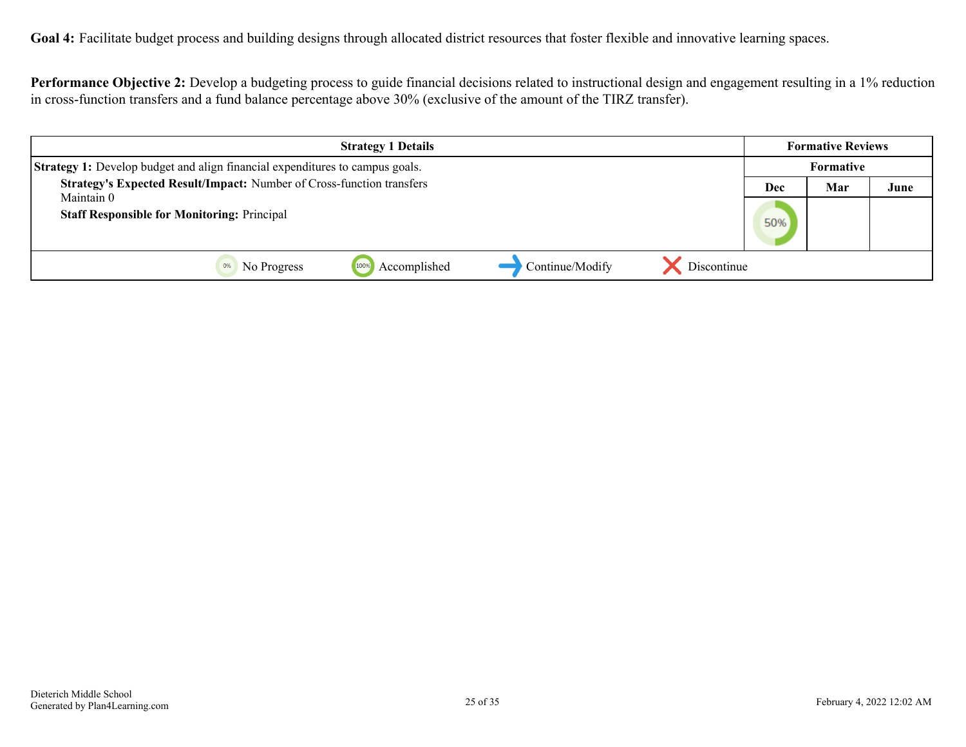**Goal 4:** Facilitate budget process and building designs through allocated district resources that foster flexible and innovative learning spaces.

**Performance Objective 2:** Develop a budgeting process to guide financial decisions related to instructional design and engagement resulting in a 1% reduction in cross-function transfers and a fund balance percentage above 30% (exclusive of the amount of the TIRZ transfer).

| <b>Strategy 1 Details</b>                                                           |     | <b>Formative Reviews</b> |      |
|-------------------------------------------------------------------------------------|-----|--------------------------|------|
| <b>Strategy 1:</b> Develop budget and align financial expenditures to campus goals. |     | Formative                |      |
| Strategy's Expected Result/Impact: Number of Cross-function transfers               | Dec | Mar                      | June |
| Maintain 0<br><b>Staff Responsible for Monitoring: Principal</b>                    |     |                          |      |
|                                                                                     | 50% |                          |      |
|                                                                                     |     |                          |      |
| Continue/Modify<br>Accomplished<br>Discontinue<br>100%<br>No Progress               |     |                          |      |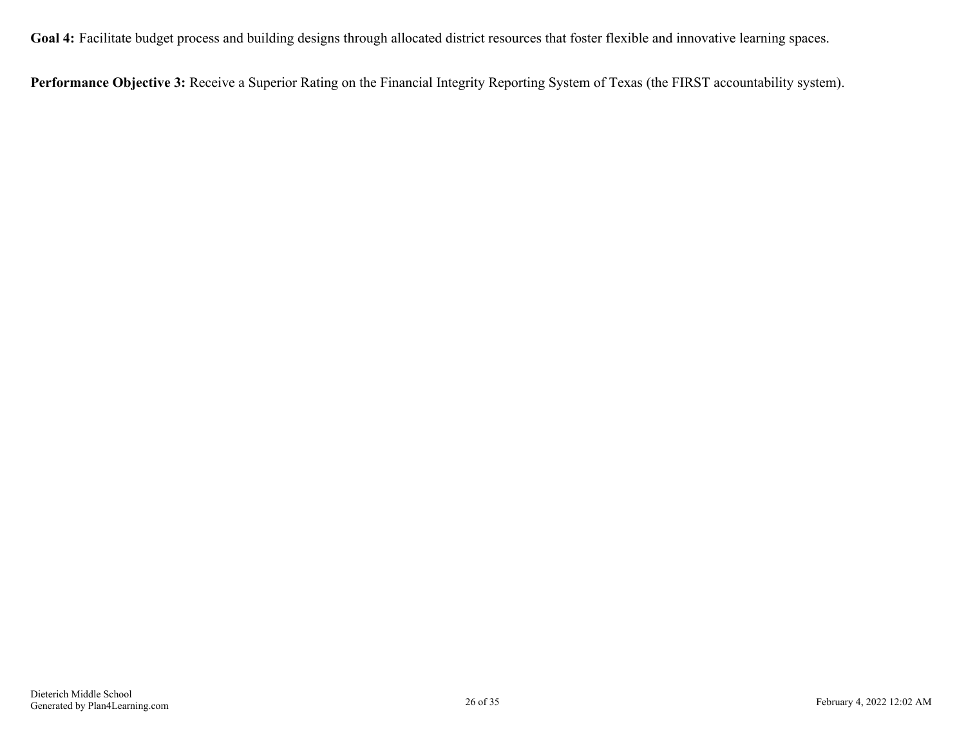**Goal 4:** Facilitate budget process and building designs through allocated district resources that foster flexible and innovative learning spaces.

**Performance Objective 3:** Receive a Superior Rating on the Financial Integrity Reporting System of Texas (the FIRST accountability system).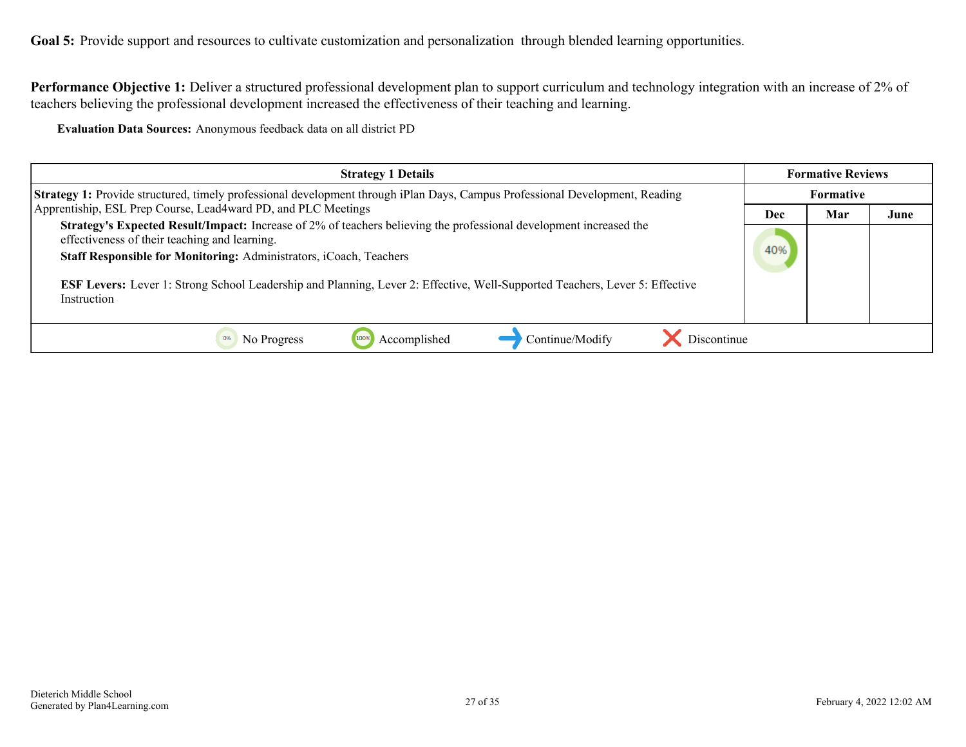<span id="page-26-0"></span>Goal 5: Provide support and resources to cultivate customization and personalization through blended learning opportunities.

**Performance Objective 1:** Deliver a structured professional development plan to support curriculum and technology integration with an increase of 2% of teachers believing the professional development increased the effectiveness of their teaching and learning.

**Evaluation Data Sources:** Anonymous feedback data on all district PD

| <b>Strategy 1 Details</b>                                                                                                                                                                                                                                                                                                                                                                             |            | <b>Formative Reviews</b> |      |  |
|-------------------------------------------------------------------------------------------------------------------------------------------------------------------------------------------------------------------------------------------------------------------------------------------------------------------------------------------------------------------------------------------------------|------------|--------------------------|------|--|
| <b>Strategy 1:</b> Provide structured, timely professional development through iPlan Days, Campus Professional Development, Reading                                                                                                                                                                                                                                                                   |            | Formative                |      |  |
| Apprentiship, ESL Prep Course, Lead4ward PD, and PLC Meetings                                                                                                                                                                                                                                                                                                                                         | <b>Dec</b> | Mar                      | June |  |
| <b>Strategy's Expected Result/Impact:</b> Increase of 2% of teachers believing the professional development increased the<br>effectiveness of their teaching and learning.<br>Staff Responsible for Monitoring: Administrators, iCoach, Teachers<br><b>ESF Levers:</b> Lever 1: Strong School Leadership and Planning, Lever 2: Effective, Well-Supported Teachers, Lever 5: Effective<br>Instruction |            |                          |      |  |
| Discontinue<br>Accomplished<br>Continue/Modify<br>No Progress                                                                                                                                                                                                                                                                                                                                         |            |                          |      |  |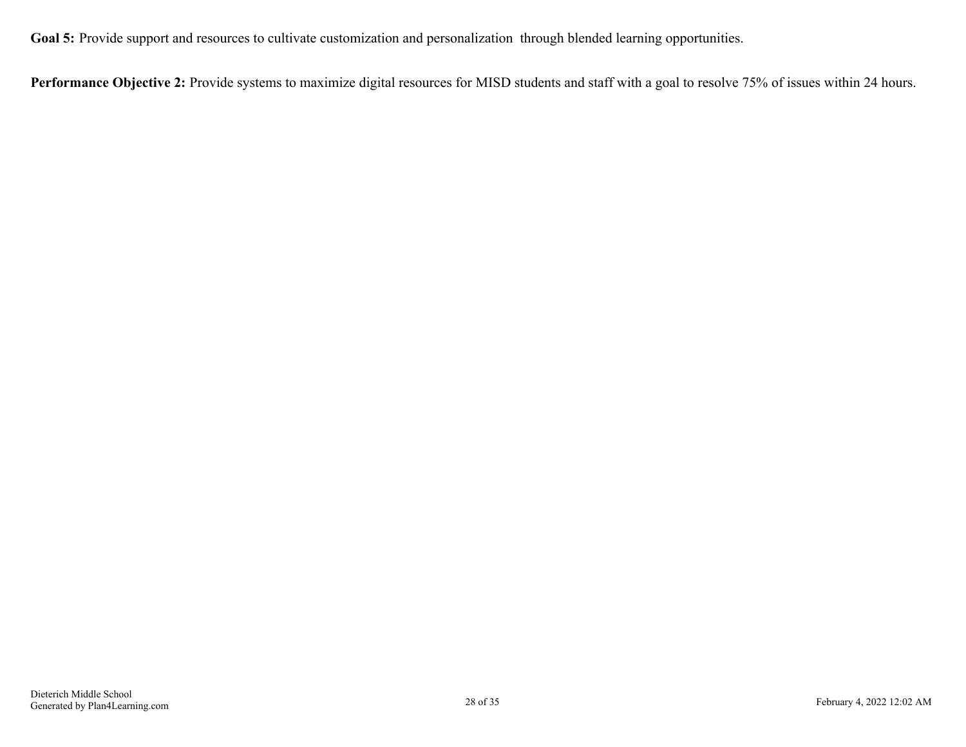Goal 5: Provide support and resources to cultivate customization and personalization through blended learning opportunities.

Performance Objective 2: Provide systems to maximize digital resources for MISD students and staff with a goal to resolve 75% of issues within 24 hours.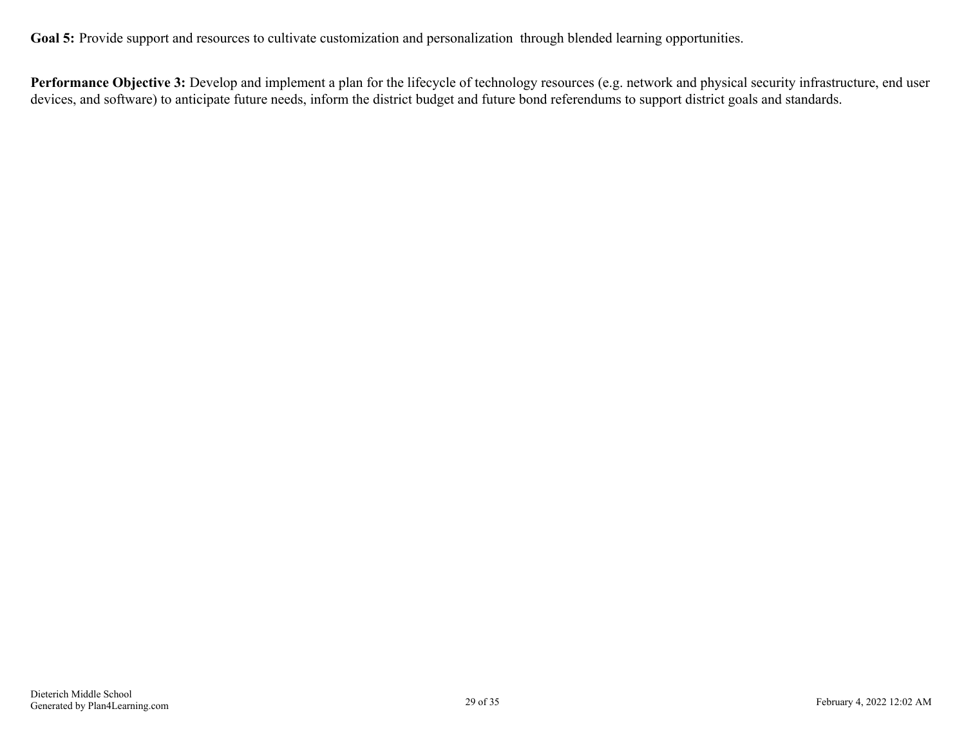Goal 5: Provide support and resources to cultivate customization and personalization through blended learning opportunities.

Performance Objective 3: Develop and implement a plan for the lifecycle of technology resources (e.g. network and physical security infrastructure, end user devices, and software) to anticipate future needs, inform the district budget and future bond referendums to support district goals and standards.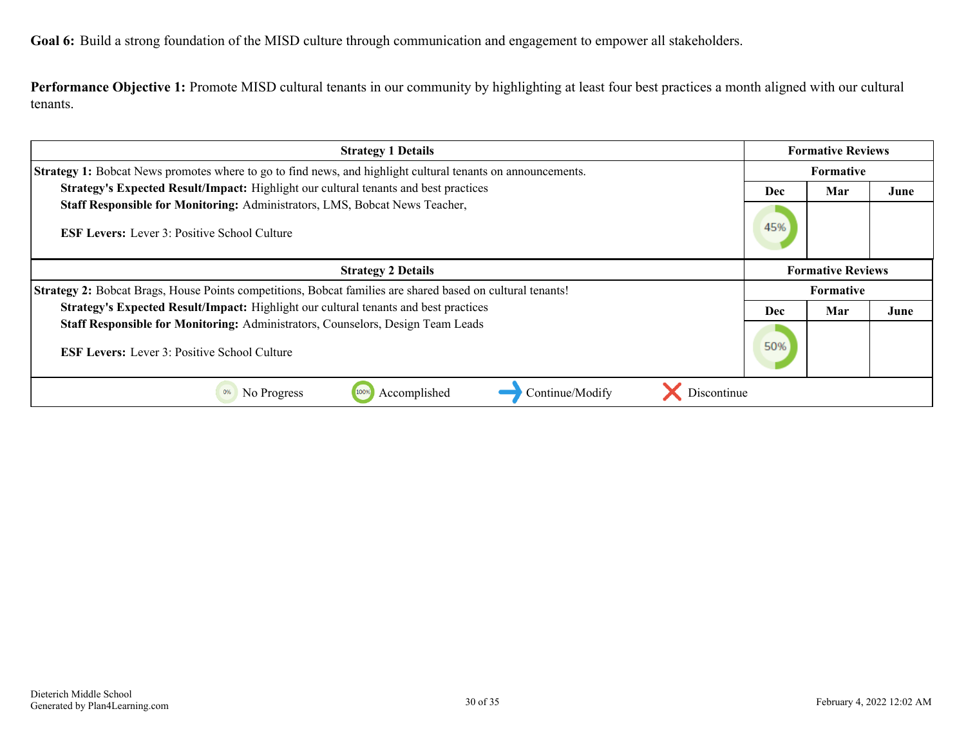<span id="page-29-0"></span>**Performance Objective 1:** Promote MISD cultural tenants in our community by highlighting at least four best practices a month aligned with our cultural tenants.

| <b>Strategy 1 Details</b>                                                                                                              |                  | <b>Formative Reviews</b> |      |
|----------------------------------------------------------------------------------------------------------------------------------------|------------------|--------------------------|------|
| <b>Strategy 1:</b> Bobcat News promotes where to go to find news, and highlight cultural tenants on announcements.                     | <b>Formative</b> |                          |      |
| Strategy's Expected Result/Impact: Highlight our cultural tenants and best practices                                                   | Dec              | Mar                      | June |
| Staff Responsible for Monitoring: Administrators, LMS, Bobcat News Teacher,<br><b>ESF Levers:</b> Lever 3: Positive School Culture     |                  |                          |      |
| <b>Strategy 2 Details</b>                                                                                                              |                  | <b>Formative Reviews</b> |      |
| <b>Strategy 2:</b> Bobcat Brags, House Points competitions, Bobcat families are shared based on cultural tenants!                      |                  | Formative                |      |
| Strategy's Expected Result/Impact: Highlight our cultural tenants and best practices                                                   | Dec              | Mar                      | June |
| Staff Responsible for Monitoring: Administrators, Counselors, Design Team Leads<br><b>ESF Levers:</b> Lever 3: Positive School Culture | 50%              |                          |      |
| Discontinue<br>Continue/Modify<br>0%<br>Accomplished<br>No Progress<br>100%                                                            |                  |                          |      |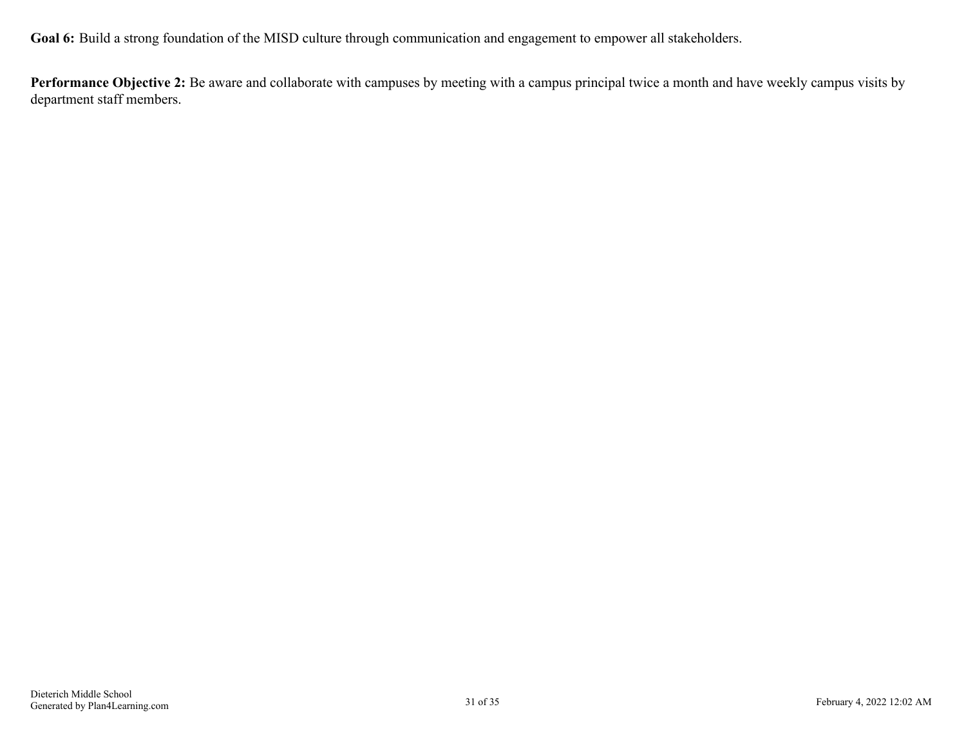**Performance Objective 2:** Be aware and collaborate with campuses by meeting with a campus principal twice a month and have weekly campus visits by department staff members.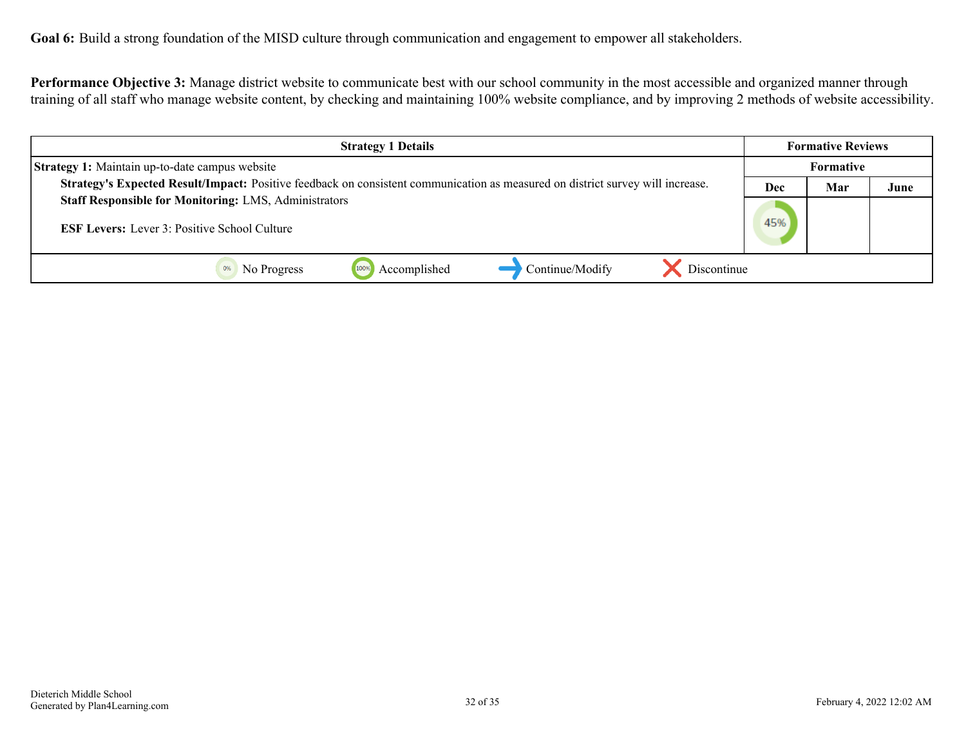**Performance Objective 3:** Manage district website to communicate best with our school community in the most accessible and organized manner through training of all staff who manage website content, by checking and maintaining 100% website compliance, and by improving 2 methods of website accessibility.

| <b>Strategy 1 Details</b>                                                                                                      |     | <b>Formative Reviews</b> |      |
|--------------------------------------------------------------------------------------------------------------------------------|-----|--------------------------|------|
| <b>Strategy 1:</b> Maintain up-to-date campus website                                                                          |     | <b>Formative</b>         |      |
| Strategy's Expected Result/Impact: Positive feedback on consistent communication as measured on district survey will increase. | Dec | Mar                      | June |
| <b>Staff Responsible for Monitoring: LMS, Administrators</b>                                                                   |     |                          |      |
| <b>ESF Levers:</b> Lever 3: Positive School Culture                                                                            | 45% |                          |      |
| Continue/Modify<br>Accomplished<br>Discontinue<br>100%<br>No Progress                                                          |     |                          |      |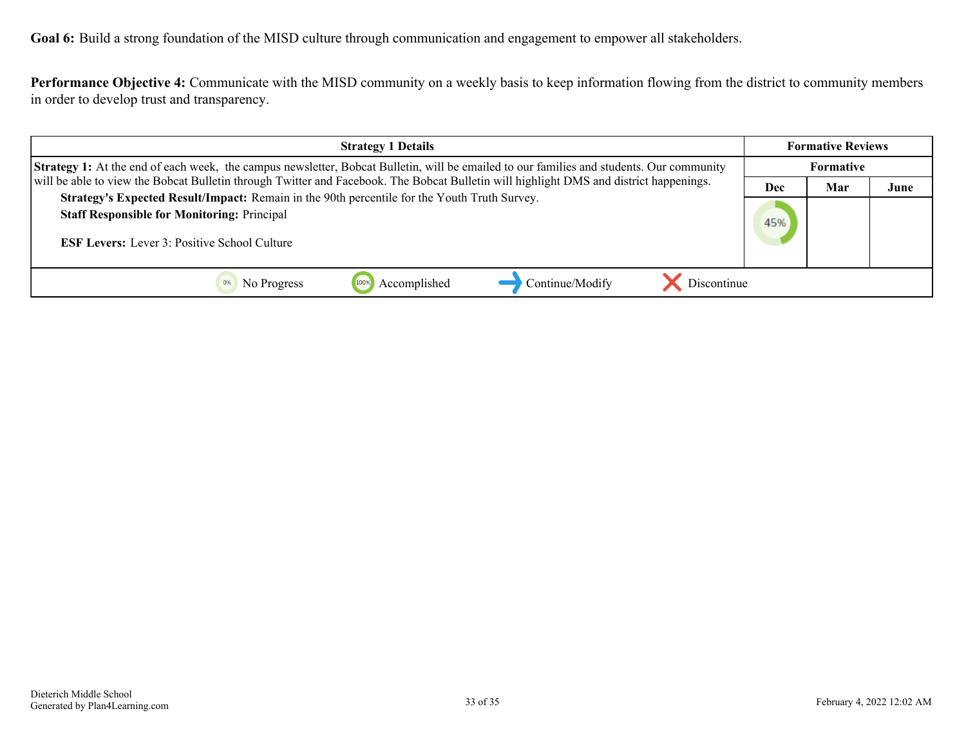**Performance Objective 4:** Communicate with the MISD community on a weekly basis to keep information flowing from the district to community members in order to develop trust and transparency.

| <b>Strategy 1 Details</b>                                                                                                                       |     | <b>Formative Reviews</b> |      |
|-------------------------------------------------------------------------------------------------------------------------------------------------|-----|--------------------------|------|
| <b>Strategy 1:</b> At the end of each week, the campus newsletter, Bobcat Bulletin, will be emailed to our families and students. Our community |     | Formative                |      |
| will be able to view the Bobcat Bulletin through Twitter and Facebook. The Bobcat Bulletin will highlight DMS and district happenings.          | Dec | Mar                      | June |
| Strategy's Expected Result/Impact: Remain in the 90th percentile for the Youth Truth Survey.                                                    |     |                          |      |
| <b>Staff Responsible for Monitoring: Principal</b><br><b>ESF Levers:</b> Lever 3: Positive School Culture                                       | 45% |                          |      |
| Discontinue<br>Accomplished<br>Continue/Modify<br>No Progress                                                                                   |     |                          |      |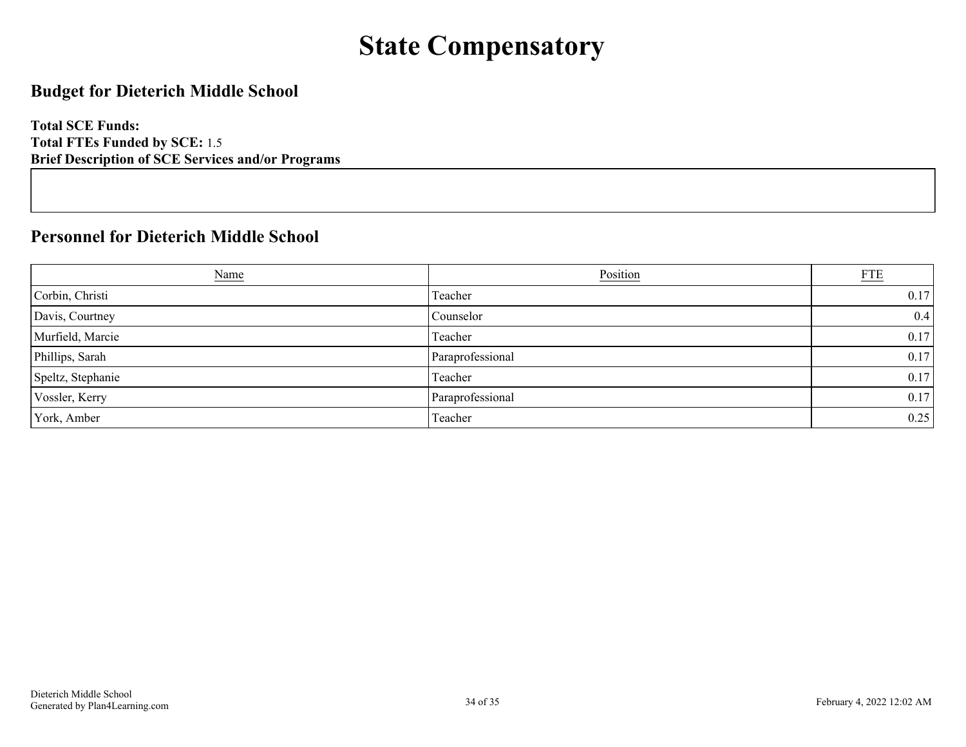# **State Compensatory**

### <span id="page-33-0"></span>**Budget for Dieterich Middle School**

**Total SCE Funds: Total FTEs Funded by SCE:** 1.5 **Brief Description of SCE Services and/or Programs**

### **Personnel for Dieterich Middle School**

| <b>Name</b>       | Position         | <b>FTE</b> |
|-------------------|------------------|------------|
| Corbin, Christi   | Teacher          | 0.17       |
| Davis, Courtney   | Counselor        | 0.4        |
| Murfield, Marcie  | Teacher          | 0.17       |
| Phillips, Sarah   | Paraprofessional | 0.17       |
| Speltz, Stephanie | Teacher          | 0.17       |
| Vossler, Kerry    | Paraprofessional | 0.17       |
| York, Amber       | Teacher          | 0.25       |